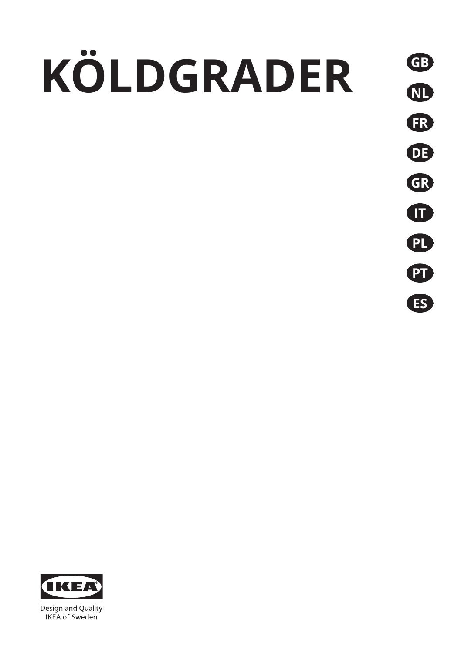# **KÖLDGRADER GB**





Design and Quality **IKEA** of Sweden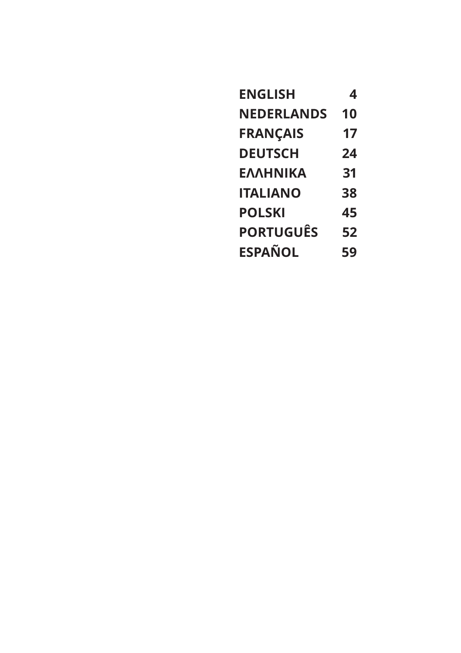| <b>ENGLISH</b>    | 4  |
|-------------------|----|
| <b>NEDERLANDS</b> | 10 |
| <b>FRANÇAIS</b>   | 17 |
| <b>DEUTSCH</b>    | 24 |
| <b>EAAHNIKA</b>   | 31 |
| <b>ITALIANO</b>   | 38 |
| <b>POLSKI</b>     | 45 |
| <b>PORTUGUÊS</b>  | 52 |
| <b>ESPAÑOL</b>    | 59 |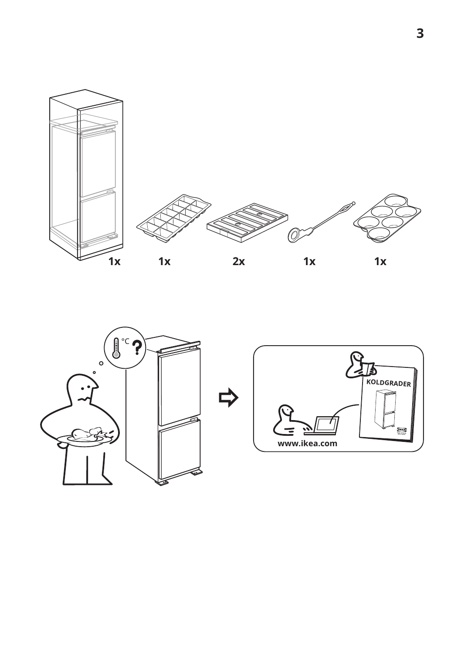



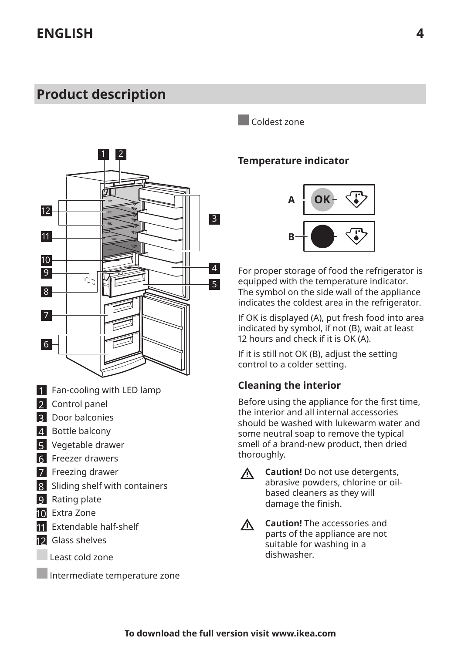# <span id="page-3-0"></span>**Product description**



- 1 Fan-cooling with LED lamp
- 2 Control panel
- 3 Door balconies
- 4 Bottle balcony
- 5 Vegetable drawer
- 6 Freezer drawers
- 7 Freezing drawer
- 8 Sliding shelf with containers
- **9** Rating plate
- 10 Extra Zone
- 11 Extendable half-shelf
- 12 Glass shelves
	- Least cold zone

Intermediate temperature zone

Coldest zone

#### **Temperature indicator**



For proper storage of food the refrigerator is equipped with the temperature indicator. The symbol on the side wall of the appliance indicates the coldest area in the refrigerator.

If OK is displayed (A), put fresh food into area indicated by symbol, if not (B), wait at least 12 hours and check if it is OK (A).

If it is still not OK (B), adjust the setting control to a colder setting.

### **Cleaning the interior**

Before using the appliance for the first time, the interior and all internal accessories should be washed with lukewarm water and some neutral soap to remove the typical smell of a brand-new product, then dried thoroughly.

Л

**Caution!** Do not use detergents, abrasive powders, chlorine or oilbased cleaners as they will damage the finish.

**Caution!** The accessories and  $\wedge$ parts of the appliance are not suitable for washing in a dishwasher.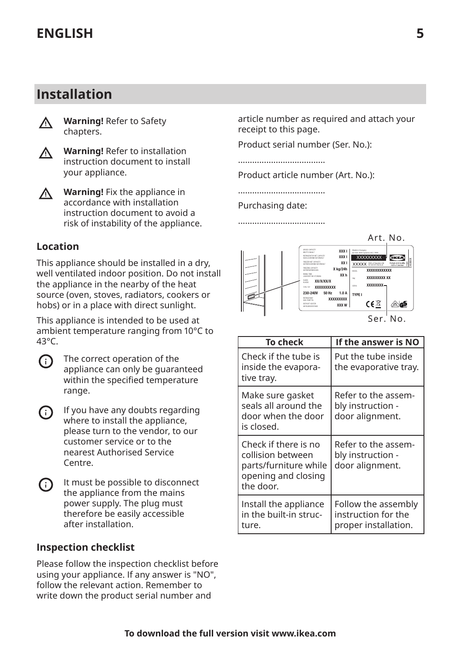### **Installation**



**Warning!** Refer to Safety chapters.



**Warning!** Fix the appliance in  $\wedge$ accordance with installation instruction document to avoid a risk of instability of the appliance.

#### **Location**

This appliance should be installed in a dry, well ventilated indoor position. Do not install the appliance in the nearby of the heat source (oven, stoves, radiators, cookers or hobs) or in a place with direct sunlight.

This appliance is intended to be used at ambient temperature ranging from 10°C to 43°C.



The correct operation of the appliance can only be guaranteed within the specified temperature range.



It must be possible to disconnect G) the appliance from the mains power supply. The plug must therefore be easily accessible after installation.

#### **Inspection checklist**

Please follow the inspection checklist before using your appliance. If any answer is "NO", follow the relevant action. Remember to write down the product serial number and

article number as required and attach your receipt to this page.

Product serial number (Ser. No.):

.....................................

Product article number (Art. No.):

..................................... Purchasing date:

.....................................



| To check                                                                                               | If the answer is NO                                                |
|--------------------------------------------------------------------------------------------------------|--------------------------------------------------------------------|
| Check if the tube is<br>inside the evapora-<br>tive tray.                                              | Put the tube inside<br>the evaporative tray.                       |
| Make sure gasket<br>seals all around the<br>door when the door<br>is closed.                           | Refer to the assem-<br>bly instruction -<br>door alignment.        |
| Check if there is no<br>collision between<br>parts/furniture while<br>opening and closing<br>the door. | Refer to the assem-<br>bly instruction -<br>door alignment.        |
| Install the appliance<br>in the built-in struc-<br>ture.                                               | Follow the assembly<br>instruction for the<br>proper installation. |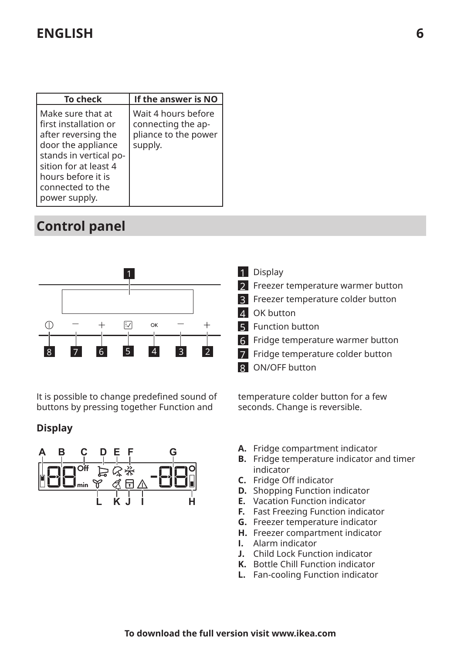# **ENGLISH 6**

| <b>To check</b>                                                                                                                                                                                       | If the answer is NO                                                          |
|-------------------------------------------------------------------------------------------------------------------------------------------------------------------------------------------------------|------------------------------------------------------------------------------|
| Make sure that at<br>first installation or<br>after reversing the<br>door the appliance<br>stands in vertical po-<br>sition for at least 4<br>hours before it is<br>connected to the<br>power supply. | Wait 4 hours before<br>connecting the ap-<br>pliance to the power<br>supply. |

# **Control panel**



It is possible to change predefined sound of buttons by pressing together Function and

#### **Display**



1 Display

- 2 Freezer temperature warmer button
- **3** Freezer temperature colder button
- 4 OK button
- **5** Function button
- 6 Fridge temperature warmer button
- 7 Fridge temperature colder button
- 8 ON/OFF button

temperature colder button for a few seconds. Change is reversible.

- **A.** Fridge compartment indicator
- **B.** Fridge temperature indicator and timer indicator
- **C.** Fridge 0ff indicator
- **D.** Shopping Function indicator
- **E.** Vacation Function indicator
- **F.** Fast Freezing Function indicator
- **G.** Freezer temperature indicator
- **H.** Freezer compartment indicator
- **I.** Alarm indicator
- **J.** Child Lock Function indicator
- **K.** Bottle Chill Function indicator
- **L.** Fan-cooling Function indicator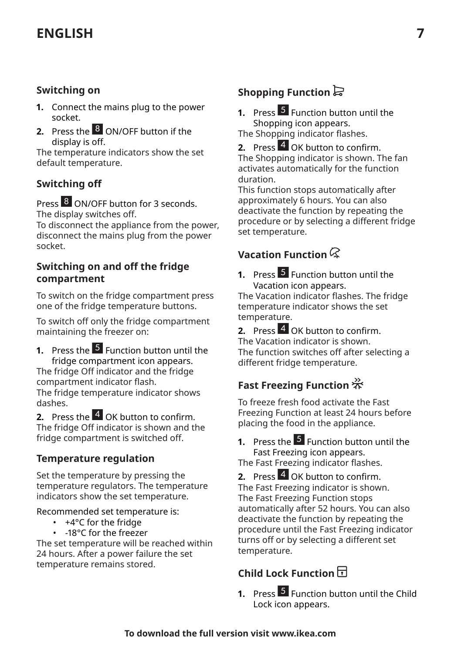# **ENGLISH 7**

#### **Switching on**

- **1.** Connect the mains plug to the power socket.
- **2.** Press the 8 ON/OFF button if the display is off.

The temperature indicators show the set default temperature.

### **Switching off**

Press<sup>8</sup> ON/OFF button for 3 seconds. The display switches off.

To disconnect the appliance from the power, disconnect the mains plug from the power socket.

#### **Switching on and off the fridge compartment**

To switch on the fridge compartment press one of the fridge temperature buttons.

To switch off only the fridge compartment maintaining the freezer on:

**1.** Press the **5** Function button until the fridge compartment icon appears. The fridge 0ff indicator and the fridge compartment indicator flash. The fridge temperature indicator shows dashes.

**2.** Press the 4 OK button to confirm. The fridge 0ff indicator is shown and the fridge compartment is switched off.

#### **Temperature regulation**

Set the temperature by pressing the temperature regulators. The temperature indicators show the set temperature.

Recommended set temperature is:

- +4°C for the fridge
- -18°C for the freezer

The set temperature will be reached within 24 hours. After a power failure the set temperature remains stored.

### **Shopping Function**

**1.** Press 5 Function button until the Shopping icon appears.

The Shopping indicator flashes.

**2.** Press 4 OK button to confirm. The Shopping indicator is shown. The fan activates automatically for the function duration.

This function stops automatically after approximately 6 hours. You can also deactivate the function by repeating the procedure or by selecting a different fridge set temperature.

### **Vacation Function**

**1.** Press 5 Function button until the Vacation icon appears. The Vacation indicator flashes. The fridge

temperature indicator shows the set temperature.

**2.** Press 4 OK button to confirm. The Vacation indicator is shown. The function switches off after selecting a different fridge temperature.

### **Fast Freezing Function**

To freeze fresh food activate the Fast Freezing Function at least 24 hours before placing the food in the appliance.

#### **1.** Press the <sup>5</sup> Function button until the Fast Freezing icon appears.

The Fast Freezing indicator flashes.

**2.** Press 4 OK button to confirm. The Fast Freezing indicator is shown. The Fast Freezing Function stops automatically after 52 hours. You can also deactivate the function by repeating the procedure until the Fast Freezing indicator turns off or by selecting a different set temperature.

### **Child Lock Function**

**1.** Press 5 Function button until the Child Lock icon appears.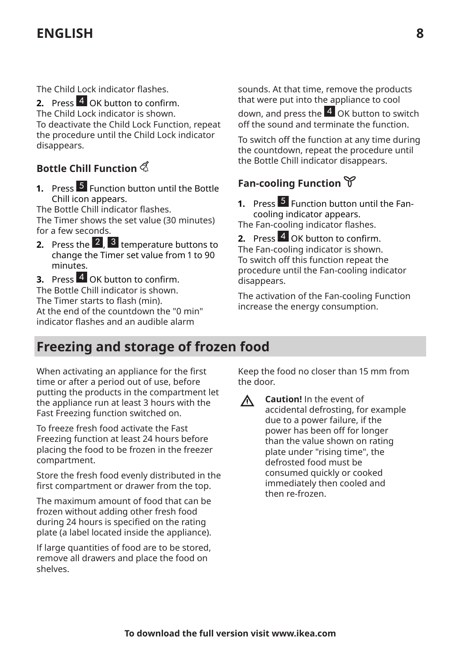# **ENGLISH 8**

The Child Lock indicator flashes.

**2.** Press 4 OK button to confirm. The Child Lock indicator is shown. To deactivate the Child Lock Function, repeat the procedure until the Child Lock indicator disappears.

### **Bottle Chill Function**

**1.** Press 5 Function button until the Bottle Chill icon appears.

The Bottle Chill indicator flashes. The Timer shows the set value (30 minutes) for a few seconds.

**2.** Press the 2, 3 temperature buttons to change the Timer set value from 1 to 90 minutes.

**3.** Press 4 OK button to confirm. The Bottle Chill indicator is shown. The Timer starts to flash (min). At the end of the countdown the "0 min" indicator flashes and an audible alarm

sounds. At that time, remove the products that were put into the appliance to cool down, and press the 4 OK button to switch off the sound and terminate the function.

To switch off the function at any time during the countdown, repeat the procedure until the Bottle Chill indicator disappears.

### **Fan-cooling Function**

**1.** Press 5 Function button until the Fancooling indicator appears.

The Fan-cooling indicator flashes.

**2.** Press 4 OK button to confirm. The Fan-cooling indicator is shown. To switch off this function repeat the procedure until the Fan-cooling indicator disappears.

The activation of the Fan-cooling Function increase the energy consumption.

### **Freezing and storage of frozen food**

When activating an appliance for the first time or after a period out of use, before putting the products in the compartment let the appliance run at least 3 hours with the Fast Freezing function switched on.

To freeze fresh food activate the Fast Freezing function at least 24 hours before placing the food to be frozen in the freezer compartment.

Store the fresh food evenly distributed in the first compartment or drawer from the top.

The maximum amount of food that can be frozen without adding other fresh food during 24 hours is specified on the rating plate (a label located inside the appliance).

If large quantities of food are to be stored, remove all drawers and place the food on shelves.

Keep the food no closer than 15 mm from the door.

**Caution!** In the event of ∧ accidental defrosting, for example due to a power failure, if the power has been off for longer than the value shown on rating plate under "rising time", the defrosted food must be consumed quickly or cooked immediately then cooled and then re-frozen.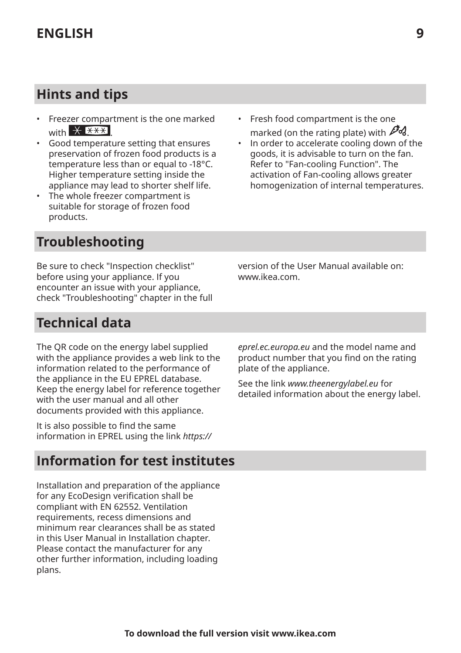# **Hints and tips**

- Freezer compartment is the one marked with  $*$   $*$
- Good temperature setting that ensures preservation of frozen food products is a temperature less than or equal to -18°C. Higher temperature setting inside the appliance may lead to shorter shelf life.
- The whole freezer compartment is suitable for storage of frozen food products.
- Fresh food compartment is the one marked (on the rating plate) with  $\mathbb{Z}_4$ .
- In order to accelerate cooling down of the goods, it is advisable to turn on the fan. Refer to "Fan-cooling Function". The activation of Fan-cooling allows greater homogenization of internal temperatures.

# **Troubleshooting**

Be sure to check "Inspection checklist" before using your appliance. If you encounter an issue with your appliance, check "Troubleshooting" chapter in the full version of the User Manual available on: www.ikea.com.

# **Technical data**

The QR code on the energy label supplied with the appliance provides a web link to the information related to the performance of the appliance in the EU EPREL database. Keep the energy label for reference together with the user manual and all other documents provided with this appliance.

It is also possible to find the same information in EPREL using the link *https://*

### **Information for test institutes**

Installation and preparation of the appliance for any EcoDesign verification shall be compliant with EN 62552. Ventilation requirements, recess dimensions and minimum rear clearances shall be as stated in this User Manual in Installation chapter. Please contact the manufacturer for any other further information, including loading plans.

*eprel.ec.europa.eu* and the model name and product number that you find on the rating plate of the appliance.

See the link *www.theenergylabel.eu* for detailed information about the energy label.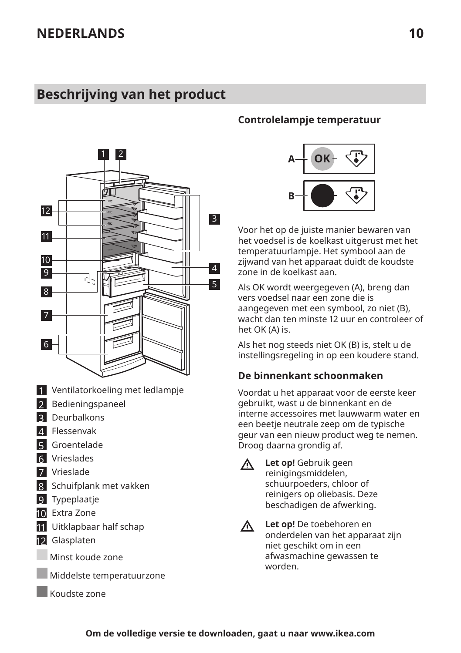### <span id="page-9-0"></span>**Beschrijving van het product**



- 1 Ventilatorkoeling met ledlampje
- 2 Bedieningspaneel
- 3 Deurbalkons
- 4 Flessenvak
- 5 Groentelade
- 6 Vrieslades
- **7** Vrieslade
- 8 Schuifplank met vakken
- 9 Typeplaatje
- 10 Extra Zone
- 11 Uitklapbaar half schap
- 12 Glasplaten
- Minst koude zone
	- Middelste temperatuurzone
	- Koudste zone

#### **Controlelampje temperatuur**



Voor het op de juiste manier bewaren van het voedsel is de koelkast uitgerust met het temperatuurlampje. Het symbool aan de zijwand van het apparaat duidt de koudste zone in de koelkast aan.

Als OK wordt weergegeven (A), breng dan vers voedsel naar een zone die is aangegeven met een symbool, zo niet (B), wacht dan ten minste 12 uur en controleer of het OK (A) is.

Als het nog steeds niet OK (B) is, stelt u de instellingsregeling in op een koudere stand.

#### **De binnenkant schoonmaken**

Voordat u het apparaat voor de eerste keer gebruikt, wast u de binnenkant en de interne accessoires met lauwwarm water en een beetje neutrale zeep om de typische geur van een nieuw product weg te nemen. Droog daarna grondig af.

**Let op!** Gebruik geen reinigingsmiddelen, schuurpoeders, chloor of reinigers op oliebasis. Deze beschadigen de afwerking.

**Let op!** De toebehoren en  $\triangle$ onderdelen van het apparaat zijn niet geschikt om in een afwasmachine gewassen te worden.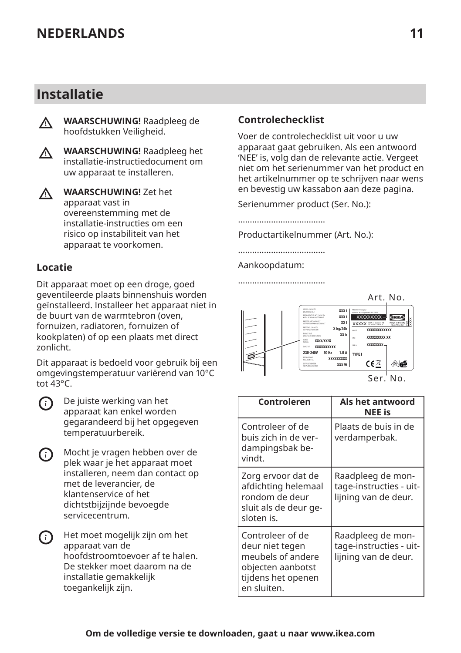### **Installatie**



**WAARSCHUWING!** Raadpleeg de hoofdstukken Veiligheid.





**WAARSCHUWING!** Zet het apparaat vast in overeenstemming met de installatie-instructies om een risico op instabiliteit van het apparaat te voorkomen.

#### **Locatie**

Dit apparaat moet op een droge, goed geventileerde plaats binnenshuis worden geïnstalleerd. Installeer het apparaat niet in de buurt van de warmtebron (oven, fornuizen, radiatoren, fornuizen of kookplaten) of op een plaats met direct zonlicht.

Dit apparaat is bedoeld voor gebruik bij een omgevingstemperatuur variërend van 10°C tot  $43^{\circ}C$ 



C

De juiste werking van het apparaat kan enkel worden gegarandeerd bij het opgegeven temperatuurbereik.

| Mocht je vragen hebben over de   |
|----------------------------------|
| plek waar je het apparaat moet   |
| installeren, neem dan contact op |
| met de leverancier, de           |
| klantenservice of het            |
| dichtstbijzijnde bevoegde        |
| servicecentrum.                  |



Het moet mogelijk zijn om het apparaat van de hoofdstroomtoevoer af te halen. De stekker moet daarom na de installatie gemakkelijk toegankelijk zijn.

#### **Controlechecklist**

Voer de controlechecklist uit voor u uw apparaat gaat gebruiken. Als een antwoord 'NEE' is, volg dan de relevante actie. Vergeet niet om het serienummer van het product en het artikelnummer op te schrijven naar wens en bevestig uw kassabon aan deze pagina.

Serienummer product (Ser. No.):

..................................... Productartikelnummer (Art. No.):

.....................................

.....................................

Aankoopdatum:



| Controleren                                                                                                        | Als het antwoord<br>NEE is                                           |
|--------------------------------------------------------------------------------------------------------------------|----------------------------------------------------------------------|
| Controleer of de<br>buis zich in de ver-<br>dampingsbak be-<br>vindt.                                              | Plaats de buis in de<br>verdamperbak.                                |
| Zorg ervoor dat de<br>afdichting helemaal<br>rondom de deur<br>sluit als de deur ge-<br>sloten is.                 | Raadpleeg de mon-<br>tage-instructies - uit-<br>lijning van de deur. |
| Controleer of de<br>deur niet tegen<br>meubels of andere<br>objecten aanbotst<br>tijdens het openen<br>en sluiten. | Raadpleeg de mon-<br>tage-instructies - uit-<br>lijning van de deur. |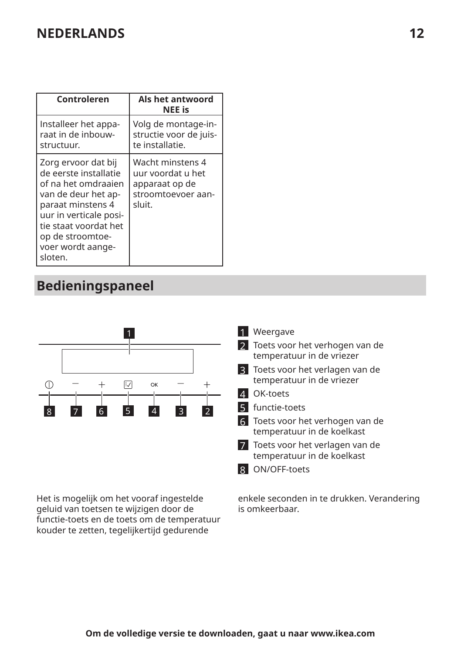| Controleren                                                                                                                                                                                                            | Als het antwoord<br><b>NEE</b> is                                                       |
|------------------------------------------------------------------------------------------------------------------------------------------------------------------------------------------------------------------------|-----------------------------------------------------------------------------------------|
| Installeer het appa-<br>raat in de inbouw-<br>structuur.                                                                                                                                                               | Volg de montage-in-<br>structie voor de juis-<br>te installatie.                        |
| Zorg ervoor dat bij<br>de eerste installatie<br>of na het omdraaien<br>van de deur het ap-<br>paraat minstens 4<br>uur in verticale posi-<br>tie staat voordat het<br>op de stroomtoe-<br>voer wordt aange-<br>sloten. | Wacht minstens 4<br>uur voordat u het<br>apparaat op de<br>stroomtoevoer aan-<br>sluit. |

# **Bedieningspaneel**



Het is mogelijk om het vooraf ingestelde geluid van toetsen te wijzigen door de functie-toets en de toets om de temperatuur kouder te zetten, tegelijkertijd gedurende

enkele seconden in te drukken. Verandering is omkeerbaar.

1 Weergave

- 2 Toets voor het verhogen van de temperatuur in de vriezer
- 3 Toets voor het verlagen van de temperatuur in de vriezer
- 4 OK-toets
- 5 functie-toets

6 Toets voor het verhogen van de temperatuur in de koelkast

- 7 Toets voor het verlagen van de temperatuur in de koelkast
- 8 ON/OFF-toets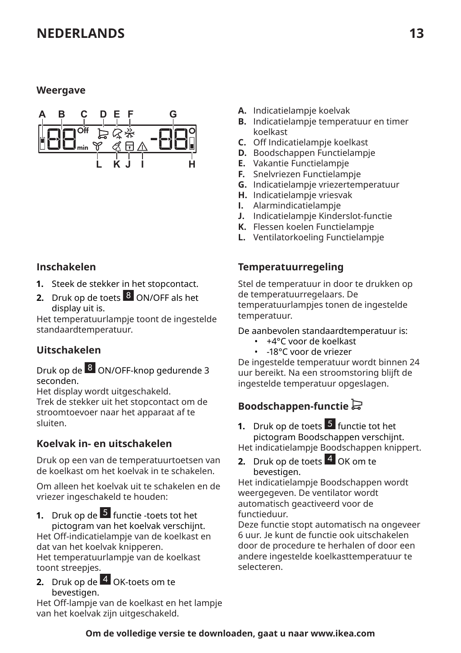#### **Weergave**



#### **Inschakelen**

- **1.** Steek de stekker in het stopcontact.
- **2.** Druk op de toets 8 ON/OFF als het display uit is.

Het temperatuurlampje toont de ingestelde standaardtemperatuur.

#### **Uitschakelen**

Druk op de 8 ON/OFF-knop gedurende 3 seconden.

Het display wordt uitgeschakeld. Trek de stekker uit het stopcontact om de stroomtoevoer naar het apparaat af te sluiten.

#### **Koelvak in- en uitschakelen**

Druk op een van de temperatuurtoetsen van de koelkast om het koelvak in te schakelen.

Om alleen het koelvak uit te schakelen en de vriezer ingeschakeld te houden:

**1.** Druk op de <sup>5</sup> functie -toets tot het pictogram van het koelvak verschijnt.

Het 0ff-indicatielampje van de koelkast en dat van het koelvak knipperen. Het temperatuurlampje van de koelkast toont streepjes.

**2.** Druk op de 4 OK-toets om te bevestigen.

Het 0ff-lampje van de koelkast en het lampje van het koelvak zijn uitgeschakeld.

- **A.** Indicatielampje koelvak
- **B.** Indicatielampje temperatuur en timer koelkast
- **C.** 0ff Indicatielampje koelkast
- **D.** Boodschappen Functielampje
- **E.** Vakantie Functielampje
- **F.** Snelvriezen Functielampje
- **G.** Indicatielampje vriezertemperatuur
- **H.** Indicatielampje vriesvak
- **I.** Alarmindicatielampje
- **J.** Indicatielampje Kinderslot-functie
- **K.** Flessen koelen Functielampje
- **L.** Ventilatorkoeling Functielampje

#### **Temperatuurregeling**

Stel de temperatuur in door te drukken op de temperatuurregelaars. De temperatuurlampjes tonen de ingestelde temperatuur.

De aanbevolen standaardtemperatuur is:

- +4°C voor de koelkast
- -18°C voor de vriezer

De ingestelde temperatuur wordt binnen 24 uur bereikt. Na een stroomstoring blijft de ingestelde temperatuur opgeslagen.

### **Boodschappen-functie**

**1.** Druk op de toets 5 functie tot het pictogram Boodschappen verschijnt. Het indicatielampje Boodschappen knippert.

- 
- **2.** Druk op de toets 4 OK om te bevestigen.

Het indicatielampje Boodschappen wordt weergegeven. De ventilator wordt automatisch geactiveerd voor de functieduur.

Deze functie stopt automatisch na ongeveer 6 uur. Je kunt de functie ook uitschakelen door de procedure te herhalen of door een andere ingestelde koelkasttemperatuur te selecteren.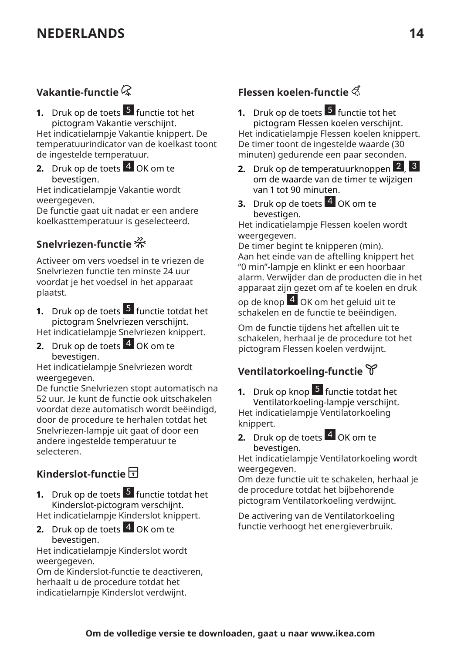### Vakantie-functie  $\mathcal R$

#### **1.** Druk op de toets 5 functie tot het pictogram Vakantie verschijnt.

Het indicatielampje Vakantie knippert. De temperatuurindicator van de koelkast toont de ingestelde temperatuur.

**2.** Druk op de toets 4 OK om te bevestigen.

Het indicatielampje Vakantie wordt weergegeven.

De functie gaat uit nadat er een andere koelkasttemperatuur is geselecteerd.

### **Snelvriezen-functie**

Activeer om vers voedsel in te vriezen de Snelvriezen functie ten minste 24 uur voordat je het voedsel in het apparaat plaatst.

- **1.** Druk op de toets 5 functie totdat het pictogram Snelvriezen verschijnt. Het indicatielampje Snelvriezen knippert.
- **2.** Druk op de toets 4 OK om te bevestigen.

Het indicatielampje Snelvriezen wordt weergegeven.

De functie Snelvriezen stopt automatisch na 52 uur. Je kunt de functie ook uitschakelen voordat deze automatisch wordt beëindigd, door de procedure te herhalen totdat het Snelvriezen-lampje uit gaat of door een andere ingestelde temperatuur te selecteren.

### **Kinderslot-functie**

**1.** Druk op de toets 5 functie totdat het Kinderslot-pictogram verschijnt. Het indicatielampje Kinderslot knippert.

**2.** Druk op de toets 4 OK om te bevestigen.

Het indicatielampje Kinderslot wordt weergegeven.

Om de Kinderslot-functie te deactiveren, herhaalt u de procedure totdat het indicatielampje Kinderslot verdwijnt.

### **Flessen koelen-functie**

- **1.** Druk op de toets 5 functie tot het pictogram Flessen koelen verschijnt. Het indicatielampje Flessen koelen knippert. De timer toont de ingestelde waarde (30 minuten) gedurende een paar seconden.
- **2.** Druk op de temperatuurknoppen 2, 3 om de waarde van de timer te wijzigen van 1 tot 90 minuten.
- **3.** Druk op de toets 4 OK om te bevestigen.

Het indicatielampje Flessen koelen wordt weergegeven.

De timer begint te knipperen (min). Aan het einde van de aftelling knippert het "0 min"-lampje en klinkt er een hoorbaar alarm. Verwijder dan de producten die in het apparaat zijn gezet om af te koelen en druk

op de knop 4 OK om het geluid uit te schakelen en de functie te beëindigen.

Om de functie tijdens het aftellen uit te schakelen, herhaal je de procedure tot het pictogram Flessen koelen verdwijnt.

### **Ventilatorkoeling-functie**

- **1.** Druk op knop 5 functie totdat het Ventilatorkoeling-lampje verschijnt. Het indicatielampje Ventilatorkoeling knippert.
- **2.** Druk op de toets  $\frac{4}{3}$  OK om te bevestigen.

Het indicatielampje Ventilatorkoeling wordt weergegeven.

Om deze functie uit te schakelen, herhaal je de procedure totdat het bijbehorende pictogram Ventilatorkoeling verdwijnt.

De activering van de Ventilatorkoeling functie verhoogt het energieverbruik.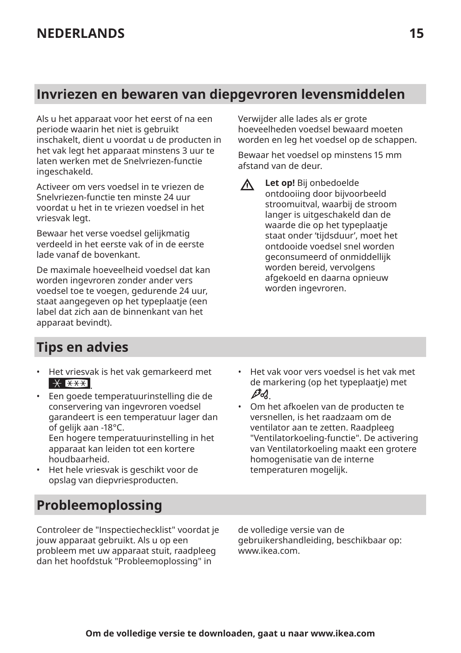# **Invriezen en bewaren van diepgevroren levensmiddelen**

Als u het apparaat voor het eerst of na een periode waarin het niet is gebruikt inschakelt, dient u voordat u de producten in het vak legt het apparaat minstens 3 uur te laten werken met de Snelvriezen-functie ingeschakeld.

Activeer om vers voedsel in te vriezen de Snelvriezen-functie ten minste 24 uur voordat u het in te vriezen voedsel in het vriesvak legt.

Bewaar het verse voedsel gelijkmatig verdeeld in het eerste vak of in de eerste lade vanaf de bovenkant.

De maximale hoeveelheid voedsel dat kan worden ingevroren zonder ander vers voedsel toe te voegen, gedurende 24 uur, staat aangegeven op het typeplaatje (een label dat zich aan de binnenkant van het apparaat bevindt).

### **Tips en advies**

- Het vriesvak is het vak gemarkeerd met  $*$  \*\*\*
- Een goede temperatuurinstelling die de conservering van ingevroren voedsel garandeert is een temperatuur lager dan of gelijk aan -18°C. Een hogere temperatuurinstelling in het apparaat kan leiden tot een kortere houdbaarheid.
- Het hele vriesvak is geschikt voor de opslag van diepvriesproducten.

de markering (op het typeplaatje) met D-12 • Om het afkoelen van de producten te

• Het vak voor vers voedsel is het vak met

versnellen, is het raadzaam om de ventilator aan te zetten. Raadpleeg "Ventilatorkoeling-functie". De activering van Ventilatorkoeling maakt een grotere homogenisatie van de interne temperaturen mogelijk.

### **Probleemoplossing**

Controleer de "Inspectiechecklist" voordat je jouw apparaat gebruikt. Als u op een probleem met uw apparaat stuit, raadpleeg dan het hoofdstuk "Probleemoplossing" in

de volledige versie van de gebruikershandleiding, beschikbaar op: www.ikea.com.

Verwijder alle lades als er grote hoeveelheden voedsel bewaard moeten worden en leg het voedsel op de schappen.

Bewaar het voedsel op minstens 15 mm afstand van de deur.

**Let op!** Bij onbedoelde  $\Lambda$ ontdooiing door bijvoorbeeld stroomuitval, waarbij de stroom langer is uitgeschakeld dan de waarde die op het typeplaatje staat onder 'tijdsduur', moet het ontdooide voedsel snel worden geconsumeerd of onmiddellijk worden bereid, vervolgens afgekoeld en daarna opnieuw worden ingevroren.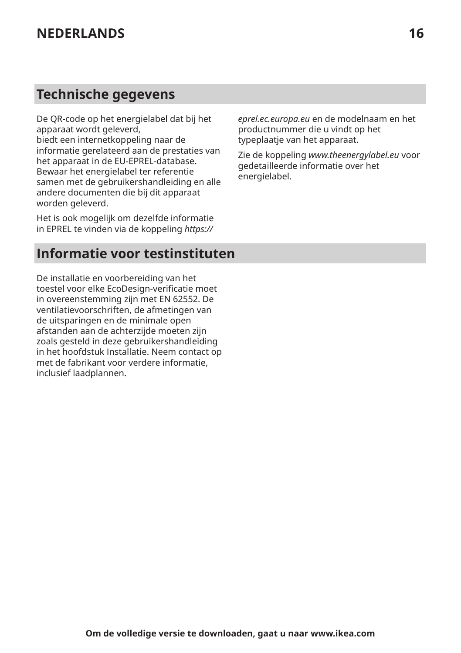# **Technische gegevens**

De QR-code op het energielabel dat bij het apparaat wordt geleverd, biedt een internetkoppeling naar de informatie gerelateerd aan de prestaties van het apparaat in de EU-EPREL-database. Bewaar het energielabel ter referentie samen met de gebruikershandleiding en alle andere documenten die bij dit apparaat worden geleverd.

Het is ook mogelijk om dezelfde informatie in EPREL te vinden via de koppeling *https://*

### **Informatie voor testinstituten**

De installatie en voorbereiding van het toestel voor elke EcoDesign-verificatie moet in overeenstemming zijn met EN 62552. De ventilatievoorschriften, de afmetingen van de uitsparingen en de minimale open afstanden aan de achterzijde moeten zijn zoals gesteld in deze gebruikershandleiding in het hoofdstuk Installatie. Neem contact op met de fabrikant voor verdere informatie, inclusief laadplannen.

*eprel.ec.europa.eu* en de modelnaam en het productnummer die u vindt op het typeplaatje van het apparaat.

Zie de koppeling *www.theenergylabel.eu* voor gedetailleerde informatie over het energielabel.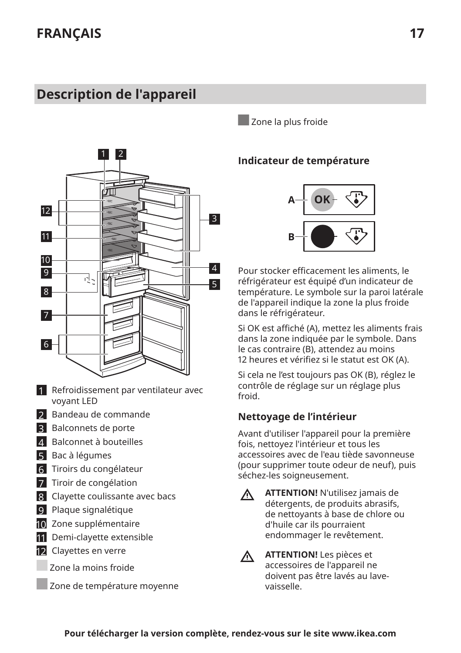# <span id="page-16-0"></span>**Description de l'appareil**



- 1 Refroidissement par ventilateur avec voyant LED
- 2 Bandeau de commande
- **3** Balconnets de porte
- 4 Balconnet à bouteilles
- 5 Bac à légumes
- **6** Tiroirs du congélateur
- 7 Tiroir de congélation
- 8 Clayette coulissante avec bacs
- 9 Plaque signalétique
- 10 Zone supplémentaire
- 11 Demi-clayette extensible
- 12 Clayettes en verre
	- Zone la moins froide
	- Zone de température moyenne

Zone la plus froide

#### **Indicateur de température**



Pour stocker efficacement les aliments, le réfrigérateur est équipé d'un indicateur de température. Le symbole sur la paroi latérale de l'appareil indique la zone la plus froide dans le réfrigérateur.

Si OK est affiché (A), mettez les aliments frais dans la zone indiquée par le symbole. Dans le cas contraire (B), attendez au moins 12 heures et vérifiez și le statut est OK (A).

Si cela ne l'est toujours pas OK (B), réglez le contrôle de réglage sur un réglage plus froid.

#### **Nettoyage de l'intérieur**

Avant d'utiliser l'appareil pour la première fois, nettoyez l'intérieur et tous les accessoires avec de l'eau tiède savonneuse (pour supprimer toute odeur de neuf), puis séchez-les soigneusement.

- **ATTENTION!** N'utilisez jamais de  $\Lambda$ détergents, de produits abrasifs, de nettoyants à base de chlore ou d'huile car ils pourraient endommager le revêtement.
- $\triangle$

**ATTENTION!** Les pièces et accessoires de l'appareil ne doivent pas être lavés au lavevaisselle.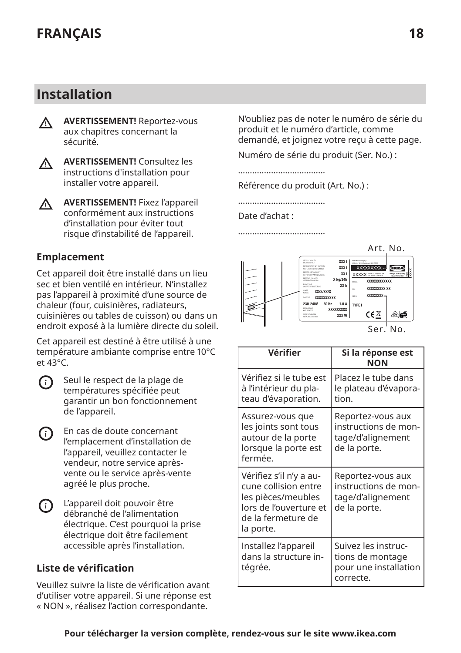### **Installation**

**AVERTISSEMENT!** Reportez-vous  $\wedge$ aux chapitres concernant la sécurité.



**AVERTISSEMENT!** Fixez l'appareil  $\Lambda$ conformément aux instructions d'installation pour éviter tout

risque d'instabilité de l'appareil.

#### **Emplacement**

Cet appareil doit être installé dans un lieu sec et bien ventilé en intérieur. N'installez pas l'appareil à proximité d'une source de chaleur (four, cuisinières, radiateurs, cuisinières ou tables de cuisson) ou dans un endroit exposé à la lumière directe du soleil.

Cet appareil est destiné à être utilisé à une température ambiante comprise entre 10°C et 43°C.

- Seul le respect de la plage de ⋒ températures spécifiée peut garantir un bon fonctionnement de l'appareil.
- En cas de doute concernant  $(i)$ l'emplacement d'installation de l'appareil, veuillez contacter le vendeur, notre service aprèsvente ou le service après-vente agréé le plus proche.
- <u>ො</u> L'appareil doit pouvoir être débranché de l'alimentation électrique. C'est pourquoi la prise électrique doit être facilement accessible après l'installation.

#### Liste de vérification

Veuillez suivre la liste de vérification avant d'utiliser votre appareil. Si une réponse est « NON », réalisez l'action correspondante.

N'oubliez pas de noter le numéro de série du produit et le numéro d'article, comme demandé, et joignez votre reçu à cette page.

Numéro de série du produit (Ser. No.) :

.....................................

Référence du produit (Art. No.) :

.....................................

#### Date d'achat :

.....................................



| Vérifier                                                                                                                           | Si la réponse est<br><b>NON</b>                                                |
|------------------------------------------------------------------------------------------------------------------------------------|--------------------------------------------------------------------------------|
| Vérifiez și le tube est<br>à l'intérieur du pla-<br>teau d'évaporation.                                                            | Placez le tube dans<br>le plateau d'évapora-<br>tion.                          |
| Assurez-vous que<br>les joints sont tous<br>autour de la porte<br>lorsque la porte est<br>fermée.                                  | Reportez-vous aux<br>instructions de mon-<br>tage/d'alignement<br>de la porte. |
| Vérifiez s'il n'y a au-<br>cune collision entre<br>les pièces/meubles<br>lors de l'ouverture et<br>de la fermeture de<br>la porte. | Reportez-vous aux<br>instructions de mon-<br>tage/d'alignement<br>de la porte. |
| Installez l'appareil<br>dans la structure in-<br>tégrée.                                                                           | Suivez les instruc-<br>tions de montage<br>pour une installation<br>correcte.  |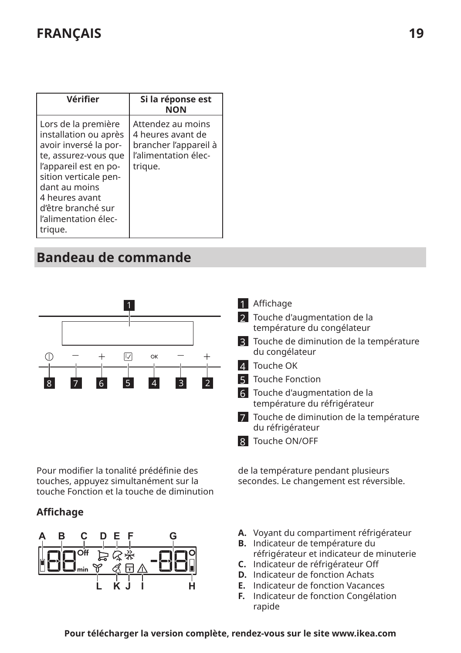# **FRANÇAIS 19**

| Vérifier                                                                                                                                                                                                                                    | Si la réponse est<br><b>NON</b>                                                                    |
|---------------------------------------------------------------------------------------------------------------------------------------------------------------------------------------------------------------------------------------------|----------------------------------------------------------------------------------------------------|
| Lors de la première<br>installation ou après<br>avoir inversé la por-<br>te, assurez-vous que<br>l'appareil est en po-<br>sition verticale pen-<br>dant au moins<br>4 heures avant<br>d'être branché sur<br>l'alimentation élec-<br>trigue. | Attendez au moins<br>4 heures avant de<br>brancher l'appareil à<br>l'alimentation élec-<br>trique. |

# **Bandeau de commande**



Pour modifier la tonalité prédéfinie des touches, appuyez simultanément sur la touche Fonction et la touche de diminution

#### **Affichage**



- 1 Affichage
- 2 Touche d'augmentation de la température du congélateur
- 3 Touche de diminution de la température du congélateur
- 4 Touche OK
- 5 Touche Fonction
- 6 Touche d'augmentation de la température du réfrigérateur
- 7 Touche de diminution de la température du réfrigérateur
- 8 Touche ON/OFF

de la température pendant plusieurs secondes. Le changement est réversible.

- **A.** Voyant du compartiment réfrigérateur
- **B.** Indicateur de température du réfrigérateur et indicateur de minuterie
- **C.** Indicateur de réfrigérateur 0ff
- **D.** Indicateur de fonction Achats
- **E.** Indicateur de fonction Vacances
- **F.** Indicateur de fonction Congélation rapide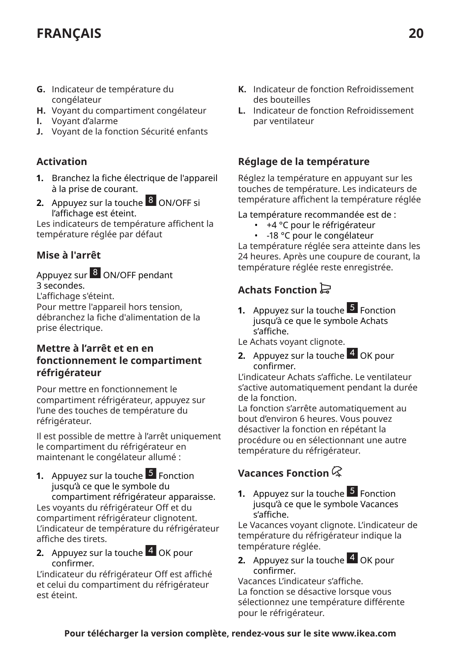# **FRANÇAIS 20**

- **G.** Indicateur de température du congélateur
- **H.** Voyant du compartiment congélateur
- **I.** Voyant d'alarme
- **J.** Voyant de la fonction Sécurité enfants

#### **Activation**

- **1.** Branchez la fiche électrique de l'appareil à la prise de courant.
- **2.** Appuyez sur la touche 8 ON/OFF si l'affichage est éteint.

Les indicateurs de température affichent la température réglée par défaut

#### **Mise à l'arrêt**

#### Appuyez sur 8 ON/OFF pendant 3 secondes.

L'affichage s'éteint.

Pour mettre l'appareil hors tension, débranchez la fiche d'alimentation de la prise électrique.

#### **Mettre à l'arrêt et en en fonctionnement le compartiment réfrigérateur**

Pour mettre en fonctionnement le compartiment réfrigérateur, appuyez sur l'une des touches de température du réfrigérateur.

Il est possible de mettre à l'arrêt uniquement le compartiment du réfrigérateur en maintenant le congélateur allumé :

- **1.** Appuyez sur la touche 5 Fonction jusqu'à ce que le symbole du compartiment réfrigérateur apparaisse. Les voyants du réfrigérateur 0ff et du compartiment réfrigérateur clignotent. L'indicateur de température du réfrigérateur affiche des tirets.
- **2.** Appuyez sur la touche 4 OK pour confirmer.

L'indicateur du réfrigérateur Off est affiché et celui du compartiment du réfrigérateur est éteint.

- **K.** Indicateur de fonction Refroidissement des bouteilles
- **L.** Indicateur de fonction Refroidissement par ventilateur

#### **Réglage de la température**

Réglez la température en appuyant sur les touches de température. Les indicateurs de température affichent la température réglée

#### La température recommandée est de :

- +4 °C pour le réfrigérateur
- -18 °C pour le congélateur

La température réglée sera atteinte dans les 24 heures. Après une coupure de courant, la température réglée reste enregistrée.

### **Achats Fonction**

- **1.** Appuyez sur la touche **5** Fonction jusqu'à ce que le symbole Achats sȃaffiche.
- Le Achats voyant clignote.
- **2.** Appuyez sur la touche 4 OK pour confirmer.

L'indicateur Achats sȃaffiche. Le ventilateur s'active automatiquement pendant la durée de la fonction.

La fonction s'arrête automatiquement au bout d'environ 6 heures. Vous pouvez désactiver la fonction en répétant la procédure ou en sélectionnant une autre température du réfrigérateur.

### **Vacances Fonction**

**1.** Appuyez sur la touche **5** Fonction jusqu'à ce que le symbole Vacances s'affiche.

Le Vacances voyant clignote. L'indicateur de température du réfrigérateur indique la température réglée.

**2.** Appuyez sur la touche 4 OK pour confirmer.

Vacances L'indicateur sȃaffiche. La fonction se désactive lorsque vous sélectionnez une température différente pour le réfrigérateur.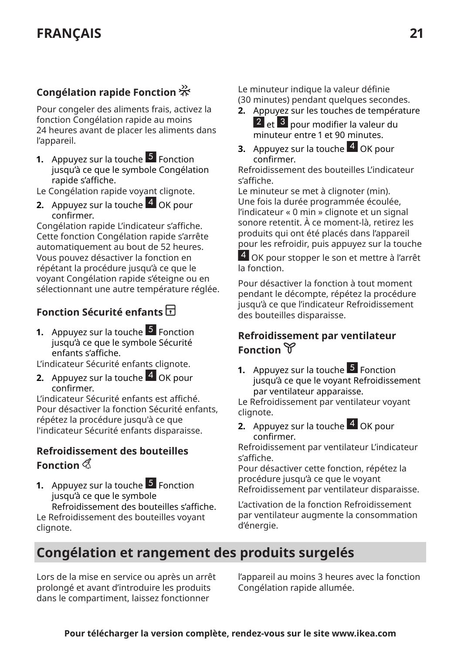### **Congélation rapide Fonction**

Pour congeler des aliments frais, activez la fonction Congélation rapide au moins 24 heures avant de placer les aliments dans l'appareil.

**1.** Appuyez sur la touche 5 Fonction jusqu'à ce que le symbole Congélation rapide s'affiche.

Le Congélation rapide voyant clignote.

**2.** Appuyez sur la touche 4 OK pour confirmer.

Congélation rapide L'indicateur s'affiche. Cette fonction Congélation rapide s'arrête automatiquement au bout de 52 heures. Vous pouvez désactiver la fonction en répétant la procédure jusqu'à ce que le voyant Congélation rapide s'éteigne ou en sélectionnant une autre température réglée.

### **Fonction Sécurité enfants**

**1.** Appuyez sur la touche 5 Fonction jusqu'à ce que le symbole Sécurité enfants s'affiche.

L'indicateur Sécurité enfants clignote.

**2.** Appuyez sur la touche 4 OK pour confirmer.

L'indicateur Sécurité enfants est affiché. Pour désactiver la fonction Sécurité enfants, répétez la procédure jusqu'à ce que l'indicateur Sécurité enfants disparaisse.

#### **Refroidissement des bouteilles Fonction**

**1.** Appuyez sur la touche 5 Fonction jusqu'à ce que le symbole Refroidissement des bouteilles s'affiche. Le Refroidissement des bouteilles voyant clignote.

Le minuteur indique la valeur définie (30 minutes) pendant quelques secondes.

- **2.** Appuyez sur les touches de température 2 <mark>et <sup>3</sup> pour modifier la valeur du</mark> minuteur entre 1 et 90 minutes.
- **3.** Appuyez sur la touche 4 OK pour confirmer.

Refroidissement des bouteilles L'indicateur sȃaffiche.

Le minuteur se met à clignoter (min). Une fois la durée programmée écoulée, l'indicateur « 0 min » clignote et un signal sonore retentit. À ce moment-là, retirez les produits qui ont été placés dans l'appareil pour les refroidir, puis appuyez sur la touche

4 OK pour stopper le son et mettre à l'arrêt la fonction.

Pour désactiver la fonction à tout moment pendant le décompte, répétez la procédure jusqu'à ce que l'indicateur Refroidissement des bouteilles disparaisse.

#### **Refroidissement par ventilateur Fonction**

**1.** Appuyez sur la touche **5** Fonction jusqu'à ce que le voyant Refroidissement par ventilateur apparaisse.

Le Refroidissement par ventilateur voyant clignote.

**2.** Appuyez sur la touche 4 OK pour confirmer.

Refroidissement par ventilateur L'indicateur s'affiche.

Pour désactiver cette fonction, répétez la procédure jusqu'à ce que le voyant Refroidissement par ventilateur disparaisse.

L'activation de la fonction Refroidissement par ventilateur augmente la consommation d'énergie.

### **Congélation et rangement des produits surgelés**

Lors de la mise en service ou après un arrêt prolongé et avant d'introduire les produits dans le compartiment, laissez fonctionner

l'appareil au moins 3 heures avec la fonction Congélation rapide allumée.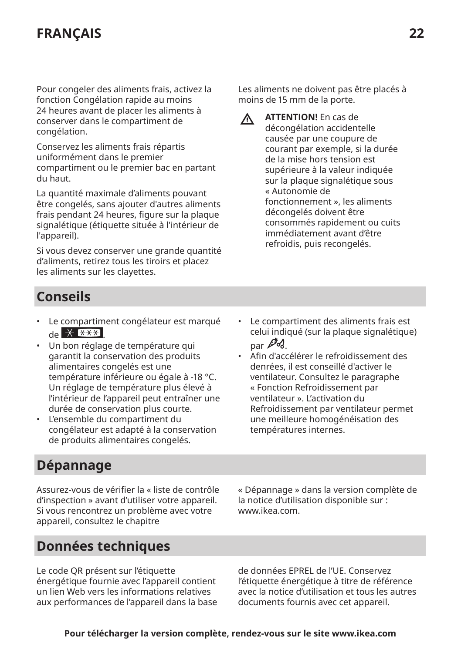# **FRANÇAIS 22**

Pour congeler des aliments frais, activez la fonction Congélation rapide au moins 24 heures avant de placer les aliments à conserver dans le compartiment de congélation.

Conservez les aliments frais répartis uniformément dans le premier compartiment ou le premier bac en partant du haut.

La quantité maximale d'aliments pouvant être congelés, sans ajouter d'autres aliments frais pendant 24 heures, figure sur la plaque signalétique (étiquette située à l'intérieur de l'appareil).

Si vous devez conserver une grande quantité d'aliments, retirez tous les tiroirs et placez les aliments sur les clayettes.

Les aliments ne doivent pas être placés à moins de 15 mm de la porte.

Λ

**ATTENTION!** En cas de décongélation accidentelle causée par une coupure de courant par exemple, si la durée de la mise hors tension est supérieure à la valeur indiquée sur la plaque signalétique sous « Autonomie de fonctionnement », les aliments décongelés doivent être consommés rapidement ou cuits immédiatement avant d'être refroidis, puis recongelés.

# **Conseils**

- Le compartiment congélateur est marqué  $\frac{4+1}{5}$   $\frac{1}{5}$   $\frac{1}{10}$
- Un bon réglage de température qui garantit la conservation des produits alimentaires congelés est une température inférieure ou égale à -18 °C. Un réglage de température plus élevé à l'intérieur de l'appareil peut entraîner une durée de conservation plus courte.
- L'ensemble du compartiment du congélateur est adapté à la conservation de produits alimentaires congelés.
- Le compartiment des aliments frais est celui indiqué (sur la plaque signalétique)  $_{par}$   $\mathscr{P}d$ .
- Afin d'accélérer le refroidissement des denrées, il est conseillé d'activer le ventilateur. Consultez le paragraphe « Fonction Refroidissement par ventilateur ». L'activation du Refroidissement par ventilateur permet une meilleure homogénéisation des températures internes.

### **Dépannage**

Assurez-vous de vérifier la « liste de contrôle d'inspection » avant d'utiliser votre appareil. Si vous rencontrez un problème avec votre appareil, consultez le chapitre

« Dépannage » dans la version complète de la notice d'utilisation disponible sur : www.ikea.com.

### **Données techniques**

Le code QR présent sur l'étiquette énergétique fournie avec l'appareil contient un lien Web vers les informations relatives aux performances de l'appareil dans la base de données EPREL de l'UE. Conservez l'étiquette énergétique à titre de référence avec la notice d'utilisation et tous les autres documents fournis avec cet appareil.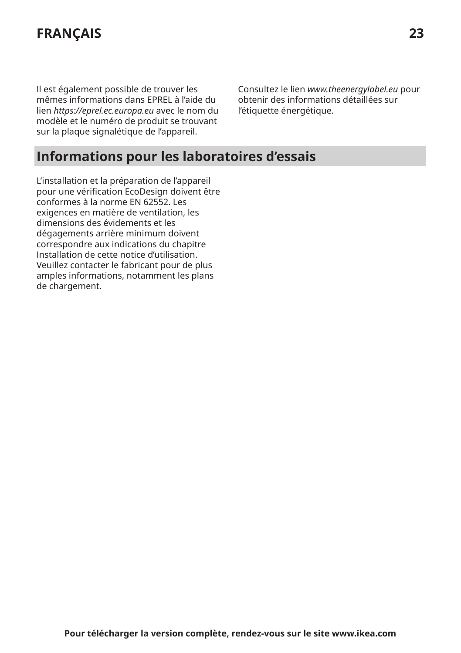# **FRANÇAIS 23**

Il est également possible de trouver les mêmes informations dans EPREL à l'aide du lien *https://eprel.ec.europa.eu* avec le nom du modèle et le numéro de produit se trouvant sur la plaque signalétique de l'appareil.

Consultez le lien *www.theenergylabel.eu* pour obtenir des informations détaillées sur l'étiquette énergétique.

### **Informations pour les laboratoires d'essais**

L'installation et la préparation de l'appareil pour une vérification EcoDesign doivent être conformes à la norme EN 62552. Les exigences en matière de ventilation, les dimensions des évidements et les dégagements arrière minimum doivent correspondre aux indications du chapitre Installation de cette notice d'utilisation. Veuillez contacter le fabricant pour de plus amples informations, notamment les plans de chargement.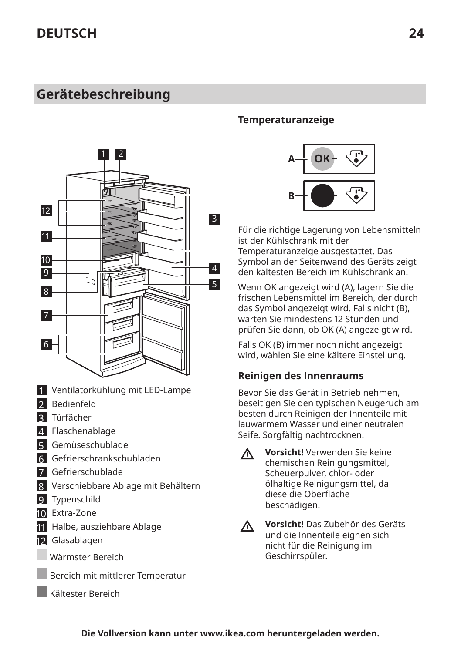# <span id="page-23-0"></span>**Gerätebeschreibung**



- 1 Ventilatorkühlung mit LED-Lampe
- 2 Bedienfeld
- 3 Türfächer
- 4 Flaschenablage
- 5 Gemüseschublade
- 6 Gefrierschrankschubladen
- 7 Gefrierschublade
- 8 Verschiebbare Ablage mit Behältern
- 9 Typenschild
- 10 Extra-Zone
- 11 Halbe, ausziehbare Ablage
- 12 Glasablagen
	- Wärmster Bereich
		- Bereich mit mittlerer Temperatur
		- Kältester Bereich

#### **Temperaturanzeige**



Für die richtige Lagerung von Lebensmitteln ist der Kühlschrank mit der Temperaturanzeige ausgestattet. Das Symbol an der Seitenwand des Geräts zeigt den kältesten Bereich im Kühlschrank an.

Wenn OK angezeigt wird (A), lagern Sie die frischen Lebensmittel im Bereich, der durch das Symbol angezeigt wird. Falls nicht (B), warten Sie mindestens 12 Stunden und prüfen Sie dann, ob OK (A) angezeigt wird.

Falls OK (B) immer noch nicht angezeigt wird, wählen Sie eine kältere Einstellung.

#### **Reinigen des Innenraums**

Bevor Sie das Gerät in Betrieb nehmen, beseitigen Sie den typischen Neugeruch am besten durch Reinigen der Innenteile mit lauwarmem Wasser und einer neutralen Seife. Sorgfältig nachtrocknen.

 $\Lambda$ 

**Vorsicht!** Verwenden Sie keine chemischen Reinigungsmittel, Scheuerpulver, chlor- oder ölhaltige Reinigungsmittel, da diese die 0berfläche beschädigen.

**Vorsicht!** Das Zubehör des Geräts  $\triangle$ und die Innenteile eignen sich nicht für die Reinigung im Geschirrspüler.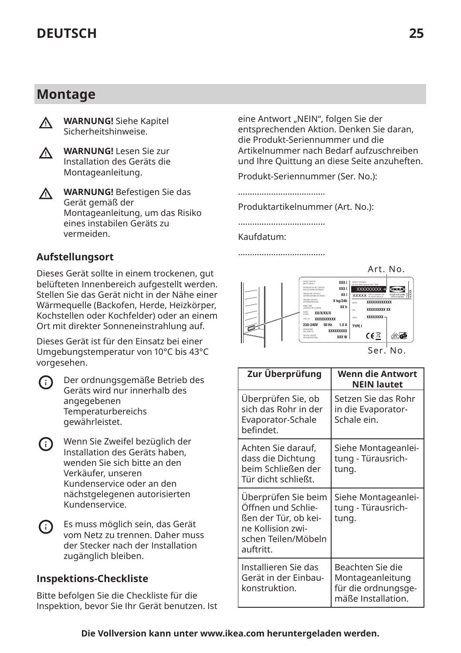### **Montage**



**WARNUNG!** Siehe Kapitel Sicherheitshinweise.



**WARNUNG!** Lesen Sie zur Installation des Geräts die Montageanleitung.

**WARNUNG!** Befestigen Sie das  $\wedge$ Gerät gemäß der Montageanleitung, um das Risiko eines instabilen Geräts zu vermeiden.

#### **Aufstellungsort**

Dieses Gerät sollte in einem trockenen, gut belüfteten Innenbereich aufgestellt werden. Stellen Sie das Gerät nicht in der Nähe einer Wärmequelle (Backofen, Herde, Heizkörper, Kochstellen oder Kochfelder) oder an einem Ort mit direkter Sonneneinstrahlung auf.

Dieses Gerät ist für den Einsatz bei einer Umgebungstemperatur von 10°C bis 43°C vorgesehen.

- Der ordnungsgemäße Betrieb des ⋒ Geräts wird nur innerhalb des angegebenen Temperaturbereichs gewährleistet.
- Wenn Sie Zweifel bezüglich der (i) Installation des Geräts haben, wenden Sie sich bitte an den Verkäufer, unseren Kundenservice oder an den nächstgelegenen autorisierten Kundenservice.
- G) Es muss möglich sein, das Gerät vom Netz zu trennen. Daher muss der Stecker nach der Installation zugänglich bleiben.

#### **Inspektions-Checkliste**

Bitte befolgen Sie die Checkliste für die Inspektion, bevor Sie Ihr Gerät benutzen. Ist eine Antwort "NEIN", folgen Sie der entsprechenden Aktion. Denken Sie daran, die Produkt-Seriennummer und die Artikelnummer nach Bedarf aufzuschreiben und Ihre Quittung an diese Seite anzuheften.

Produkt-Seriennummer (Ser. No.):

.....................................

Produktartikelnummer (Art. No.):

.....................................

.....................................

#### Kaufdatum:

Art. No. XXX l GROSS CAPACITY BRUTTO INHALT XXX l XXXXXXXX xxxx K<sub>x</sub>  $vwvw$ FREEZER NET CAPACITY PQM **XXXXXXXXXXX** X kg/24h r<br>XX h PNC XXXXXXXXX XX **XX/X/XX/X** CLASS KLASSE xxxxxxxx **XXXXXXXXX** 50 Hz 1.0 A 230-240V TYPE I XXXXXXXXX  $C \in \mathbb{Z}$ KARLTEMITTEL  $\sqrt{N}$ **ABTAU** Ser. No.

| Zur Überprüfung                                                                                                            | Wenn die Antwort<br><b>NEIN lautet</b>                                            |
|----------------------------------------------------------------------------------------------------------------------------|-----------------------------------------------------------------------------------|
| Uberprüfen Sie, ob<br>sich das Rohr in der<br>Evaporator-Schale<br>hefindet.                                               | Setzen Sie das Rohr<br>in die Evaporator-<br>Schale ein.                          |
| Achten Sie darauf,<br>dass die Dichtung<br>beim Schließen der<br>Tür dicht schließt.                                       | Siehe Montageanlei-<br>tung - Türausrich-<br>tung.                                |
| Uberprüfen Sie beim<br>Öffnen und Schlie-<br>ßen der Tür, ob kei-<br>ne Kollision zwi-<br>schen Teilen/Möbeln<br>auftritt. | Siehe Montageanlei-<br>tung - Türausrich-<br>tung.                                |
| Installieren Sie das<br>Gerät in der Einbau-<br>konstruktion.                                                              | Beachten Sie die<br>Montageanleitung<br>für die ordnungsge-<br>mäße Installation. |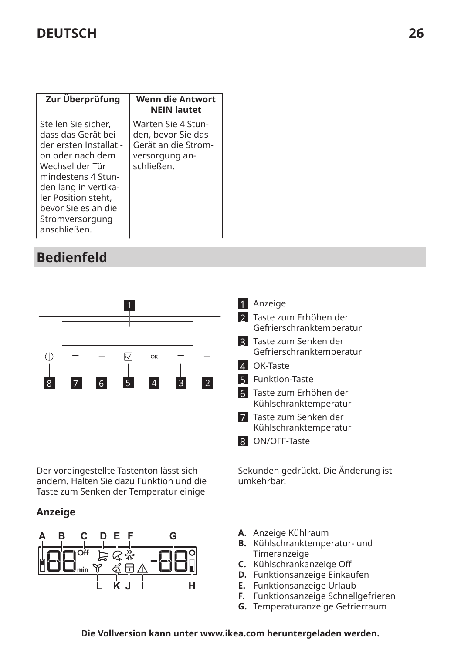| Zur Überprüfung                                                                                                                                                                                                                           | Wenn die Antwort<br><b>NEIN lautet</b>                                                          |
|-------------------------------------------------------------------------------------------------------------------------------------------------------------------------------------------------------------------------------------------|-------------------------------------------------------------------------------------------------|
| Stellen Sie sicher,<br>dass das Gerät bei<br>der ersten Installati-<br>on oder nach dem<br>Wechsel der Tür<br>mindestens 4 Stun-<br>den lang in vertika-<br>ler Position steht,<br>bevor Sie es an die<br>Stromversorgung<br>anschließen. | Warten Sie 4 Stun-<br>den, bevor Sie das<br>Gerät an die Strom-<br>versorgung an-<br>schließen. |

# **Bedienfeld**



Der voreingestellte Tastenton lässt sich ändern. Halten Sie dazu Funktion und die Taste zum Senken der Temperatur einige

#### **Anzeige**



|              | Anzeige                                             |
|--------------|-----------------------------------------------------|
|              | 2 Taste zum Erhöhen der<br>Gefrierschranktemperatur |
| $\mathsf{R}$ | Taste zum Senken der<br>Gefrierschranktemperatur    |
|              | OK-Taste                                            |
|              | 5 Funktion-Taste                                    |
|              | 6 Taste zum Erhöhen der<br>Kühlschranktemperatur    |
|              | Taste zum Senken der<br>Kühlschranktemperatur       |
|              | ON/OFF-Taste                                        |

Sekunden gedrückt. Die Änderung ist umkehrbar.

- **A.** Anzeige Kühlraum
- **B.** Kühlschranktemperatur- und Timeranzeige
- **C.** Kühlschrankanzeige 0ff
- **D.** Funktionsanzeige Einkaufen
- **E.** Funktionsanzeige Urlaub
- **F.** Funktionsanzeige Schnellgefrieren
- **G.** Temperaturanzeige Gefrierraum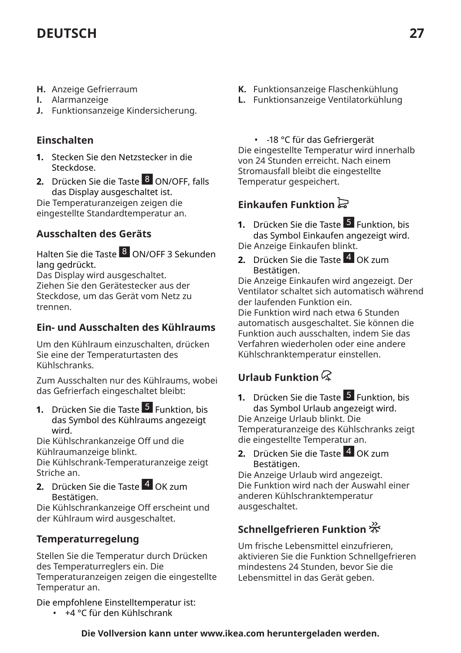- **H.** Anzeige Gefrierraum
- **I.** Alarmanzeige
- **J.** Funktionsanzeige Kindersicherung.

#### **Einschalten**

- **1.** Stecken Sie den Netzstecker in die Steckdose.
- **2.** Drücken Sie die Taste 8 ON/OFF, falls das Display ausgeschaltet ist.

Die Temperaturanzeigen zeigen die eingestellte Standardtemperatur an.

### **Ausschalten des Geräts**

Halten Sie die Taste <sup>8</sup> ON/OFF 3 Sekunden lang gedrückt.

Das Display wird ausgeschaltet. Ziehen Sie den Gerätestecker aus der Steckdose, um das Gerät vom Netz zu trennen.

#### **Ein- und Ausschalten des Kühlraums**

Um den Kühlraum einzuschalten, drücken Sie eine der Temperaturtasten des Kühlschranks.

Zum Ausschalten nur des Kühlraums, wobei das Gefrierfach eingeschaltet bleibt:

**1.** Drücken Sie die Taste 5 Funktion, bis das Symbol des Kühlraums angezeigt wird.

Die Kühlschrankanzeige 0ff und die Kühlraumanzeige blinkt.

Die Kühlschrank-Temperaturanzeige zeigt Striche an.

**2.** Drücken Sie die Taste 4 OK zum Bestätigen.

Die Kühlschrankanzeige 0ff erscheint und der Kühlraum wird ausgeschaltet.

### **Temperaturregelung**

Stellen Sie die Temperatur durch Drücken des Temperaturreglers ein. Die Temperaturanzeigen zeigen die eingestellte Temperatur an.

Die empfohlene Einstelltemperatur ist:

• +4 °C für den Kühlschrank

- **K.** Funktionsanzeige Flaschenkühlung
- **L.** Funktionsanzeige Ventilatorkühlung
	- -18 °C für das Gefriergerät

Die eingestellte Temperatur wird innerhalb von 24 Stunden erreicht. Nach einem Stromausfall bleibt die eingestellte Temperatur gespeichert.

### **Einkaufen Funktion**

**1.** Drücken Sie die Taste 5 Funktion, bis das Symbol Einkaufen angezeigt wird. Die Anzeige Einkaufen blinkt.

**2.** Drücken Sie die Taste 4 OK zum Bestätigen.

Die Anzeige Einkaufen wird angezeigt. Der Ventilator schaltet sich automatisch während der laufenden Funktion ein.

Die Funktion wird nach etwa 6 Stunden automatisch ausgeschaltet. Sie können die Funktion auch ausschalten, indem Sie das Verfahren wiederholen oder eine andere Kühlschranktemperatur einstellen.

### **Urlaub Funktion**

**1.** Drücken Sie die Taste 5 Funktion, bis das Symbol Urlaub angezeigt wird. Die Anzeige Urlaub blinkt. Die Temperaturanzeige des Kühlschranks zeigt die eingestellte Temperatur an.

**2.** Drücken Sie die Taste 4 OK zum Bestätigen.

Die Anzeige Urlaub wird angezeigt. Die Funktion wird nach der Auswahl einer anderen Kühlschranktemperatur ausgeschaltet.

### **Schnellgefrieren Funktion**

Um frische Lebensmittel einzufrieren, aktivieren Sie die Funktion Schnellgefrieren mindestens 24 Stunden, bevor Sie die Lebensmittel in das Gerät geben.

**Die Vollversion kann unter www.ikea.com heruntergeladen werden.**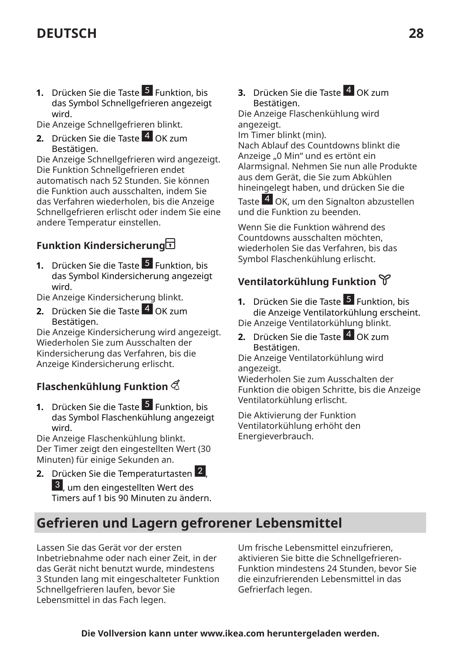**1.** Drücken Sie die Taste 5 Funktion, bis das Symbol Schnellgefrieren angezeigt wird.

Die Anzeige Schnellgefrieren blinkt.

**2.** Drücken Sie die Taste 4 OK zum Bestätigen.

Die Anzeige Schnellgefrieren wird angezeigt. Die Funktion Schnellgefrieren endet automatisch nach 52 Stunden. Sie können die Funktion auch ausschalten, indem Sie das Verfahren wiederholen, bis die Anzeige Schnellgefrieren erlischt oder indem Sie eine andere Temperatur einstellen.

### **Funktion Kindersicherung**

**1.** Drücken Sie die Taste 5 Funktion, bis das Symbol Kindersicherung angezeigt wird.

Die Anzeige Kindersicherung blinkt.

**2.** Drücken Sie die Taste 4 OK zum Bestätigen.

Die Anzeige Kindersicherung wird angezeigt. Wiederholen Sie zum Ausschalten der Kindersicherung das Verfahren, bis die Anzeige Kindersicherung erlischt.

### **Flaschenkühlung Funktion**

**1.** Drücken Sie die Taste 5 Funktion, bis das Symbol Flaschenkühlung angezeigt wird.

Die Anzeige Flaschenkühlung blinkt. Der Timer zeigt den eingestellten Wert (30 Minuten) für einige Sekunden an.

**2.** Drücken Sie die Temperaturtasten 2 , 3 , um den eingestellten Wert des Timers auf 1 bis 90 Minuten zu ändern. **3.** Drücken Sie die Taste 4 OK zum Bestätigen.

Die Anzeige Flaschenkühlung wird angezeigt.

Im Timer blinkt (min).

Nach Ablauf des Countdowns blinkt die Anzeige "0 Min" und es ertönt ein Alarmsignal. Nehmen Sie nun alle Produkte aus dem Gerät, die Sie zum Abkühlen hineingelegt haben, und drücken Sie die

Taste 4 OK, um den Signalton abzustellen und die Funktion zu beenden.

Wenn Sie die Funktion während des Countdowns ausschalten möchten, wiederholen Sie das Verfahren, bis das Symbol Flaschenkühlung erlischt.

### **Ventilatorkühlung Funktion**

**1.** Drücken Sie die Taste 5 Funktion, bis die Anzeige Ventilatorkühlung erscheint. Die Anzeige Ventilatorkühlung blinkt.

**2.** Drücken Sie die Taste 4 OK zum Bestätigen.

Die Anzeige Ventilatorkühlung wird angezeigt.

Wiederholen Sie zum Ausschalten der Funktion die obigen Schritte, bis die Anzeige Ventilatorkühlung erlischt.

Die Aktivierung der Funktion Ventilatorkühlung erhöht den Energieverbrauch.

### **Gefrieren und Lagern gefrorener Lebensmittel**

Lassen Sie das Gerät vor der ersten Inbetriebnahme oder nach einer Zeit, in der das Gerät nicht benutzt wurde, mindestens 3 Stunden lang mit eingeschalteter Funktion Schnellgefrieren laufen, bevor Sie Lebensmittel in das Fach legen.

Um frische Lebensmittel einzufrieren, aktivieren Sie bitte die Schnellgefrieren-Funktion mindestens 24 Stunden, bevor Sie die einzufrierenden Lebensmittel in das Gefrierfach legen.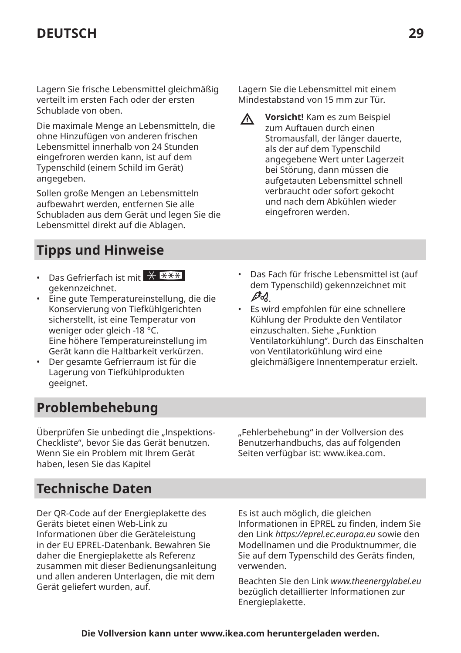Lagern Sie frische Lebensmittel gleichmäßig verteilt im ersten Fach oder der ersten Schublade von oben.

Die maximale Menge an Lebensmitteln, die ohne Hinzufügen von anderen frischen Lebensmittel innerhalb von 24 Stunden eingefroren werden kann, ist auf dem Typenschild (einem Schild im Gerät) angegeben.

Sollen große Mengen an Lebensmitteln aufbewahrt werden, entfernen Sie alle Schubladen aus dem Gerät und legen Sie die Lebensmittel direkt auf die Ablagen.

### **Tipps und Hinweise**

- Das Gefrierfach ist mit  $\overline{X}$   $\overline{X}$   $\overline{X}$ gekennzeichnet.
- Eine gute Temperatureinstellung, die die Konservierung von Tiefkühlgerichten sicherstellt, ist eine Temperatur von weniger oder gleich -18 °C. Eine höhere Temperatureinstellung im Gerät kann die Haltbarkeit verkürzen.
- Der gesamte Gefrierraum ist für die Lagerung von Tiefkühlprodukten geeignet.

### **Problembehebung**

Uberprüfen Sie unbedingt die "Inspektions-Checkliste", bevor Sie das Gerät benutzen. Wenn Sie ein Problem mit Ihrem Gerät haben, lesen Sie das Kapitel

"Fehlerbehebung" in der Vollversion des Benutzerhandbuchs, das auf folgenden Seiten verfügbar ist: www.ikea.com.

### **Technische Daten**

Der QR-Code auf der Energieplakette des Geräts bietet einen Web-Link zu Informationen über die Geräteleistung in der EU EPREL-Datenbank. Bewahren Sie daher die Energieplakette als Referenz zusammen mit dieser Bedienungsanleitung und allen anderen Unterlagen, die mit dem Gerät geliefert wurden, auf.

Es ist auch möglich, die gleichen Informationen in EPREL zu finden, indem Sie den Link *https://eprel.ec.europa.eu* sowie den Modellnamen und die Produktnummer, die Sie auf dem Typenschild des Geräts finden, verwenden.

Beachten Sie den Link *www.theenergylabel.eu* bezüglich detaillierter Informationen zur Energieplakette.

#### Lagern Sie die Lebensmittel mit einem Mindestabstand von 15 mm zur Tür.

- **Vorsicht!** Kam es zum Beispiel zum Auftauen durch einen Stromausfall, der länger dauerte, als der auf dem Typenschild angegebene Wert unter Lagerzeit bei Störung, dann müssen die aufgetauten Lebensmittel schnell verbraucht oder sofort gekocht und nach dem Abkühlen wieder eingefroren werden.
- Das Fach für frische Lebensmittel ist (auf dem Typenschild) gekennzeichnet mit D-12
- Es wird empfohlen für eine schnellere Kühlung der Produkte den Ventilator einzuschalten. Siehe "Funktion Ventilatorkühlung". Durch das Einschalten von Ventilatorkühlung wird eine gleichmäßigere Innentemperatur erzielt.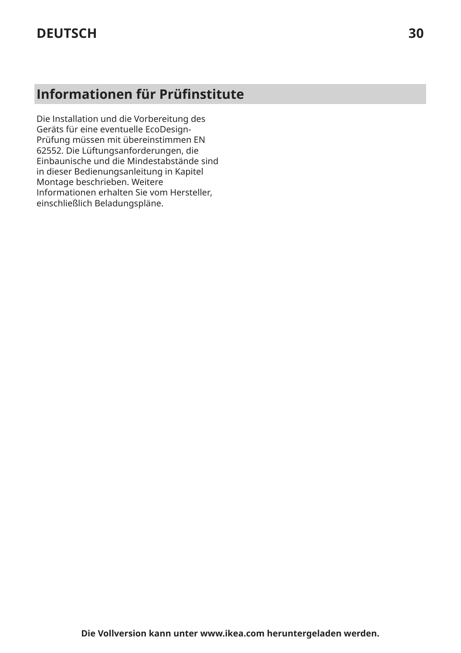# **Informationen für Prüfinstitute**

Die Installation und die Vorbereitung des Geräts für eine eventuelle EcoDesign-Prüfung müssen mit übereinstimmen EN 62552. Die Lüftungsanforderungen, die Einbaunische und die Mindestabstände sind in dieser Bedienungsanleitung in Kapitel Montage beschrieben. Weitere Informationen erhalten Sie vom Hersteller, einschließlich Beladungspläne.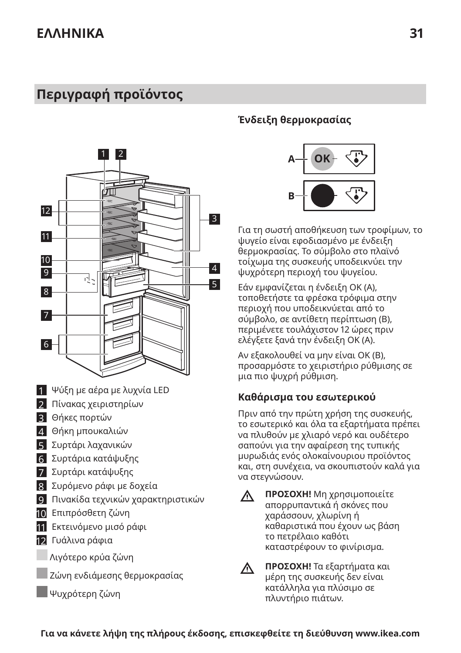# <span id="page-30-0"></span>**Περιγραφή προϊόντος**



- 1 Ψύξη με αέρα με λυχνία LED
- 2 Πίνακας χειριστηρίων
- 3 Θήκες πορτών
- 4 Θήκη μπουκαλιών
- 5 Συρτάρι λαχανικών
- 6 Συρτάρια κατάψυξης
- 7 Συρτάρι κατάψυξης
- 8 Συρόμενο ράφι με δοχεία
- 9 Πινακίδα τεχνικών χαρακτηριστικών
- 10 Επιπρόσθετη ζώνη
- 11 Εκτεινόμενο μισό ράφι
- 12 Γυάλινα ράφια
- Λιγότερο κρύα ζώνη
- Ζώνη ενδιάμεσης θερμοκρασίας
- Ψυχρότερη ζώνη

#### **Ένδειξη θερμοκρασίας**



Για τη σωστή αποθήκευση των τροφίμων, το ψυγείο είναι εφοδιασμένο με ένδειξη θερμοκρασίας. Το σύμβολο στο πλαϊνό τοίχωμα της συσκευής υποδεικνύει την ψυχρότερη περιοχή του ψυγείου.

Εάν εμφανίζεται η ένδειξη OK (Α), τοποθετήστε τα φρέσκα τρόφιμα στην περιοχή που υποδεικνύεται από το σύμβολο, σε αντίθετη περίπτωση (Β), περιμένετε τουλάχιστον 12 ώρες πριν ελέγξετε ξανά την ένδειξη OK (A).

Αν εξακολουθεί να μην είναι OK (B), προσαρμόστε το χειριστήριο ρύθμισης σε μια πιο ψυχρή ρύθμιση.

#### **Καθάρισμα του εσωτερικού**

Πριν από την πρώτη χρήση της συσκευής, το εσωτερικό και όλα τα εξαρτήματα πρέπει να πλυθούν με χλιαρό νερό και ουδέτερο σαπούνι για την αφαίρεση της τυπικής μυρωδιάς ενός ολοκαίνουριου προϊόντος και, στη συνέχεια, να σκουπιστούν καλά για να στεγνώσουν.

- **ΠΡΟΣΟΧΗ!** Μη χρησιμοποιείτε  $\bigwedge$ απορρυπαντικά ή σκόνες που χαράσσουν, χλωρίνη ή καθαριστικά που έχουν ως βάση το πετρέλαιο καθότι καταστρέφουν το φινίρισμα.
- $\wedge$

**ΠΡΟΣΟΧΗ!** Τα εξαρτήματα και μέρη της συσκευής δεν είναι κατάλληλα για πλύσιμο σε πλυντήριο πιάτων.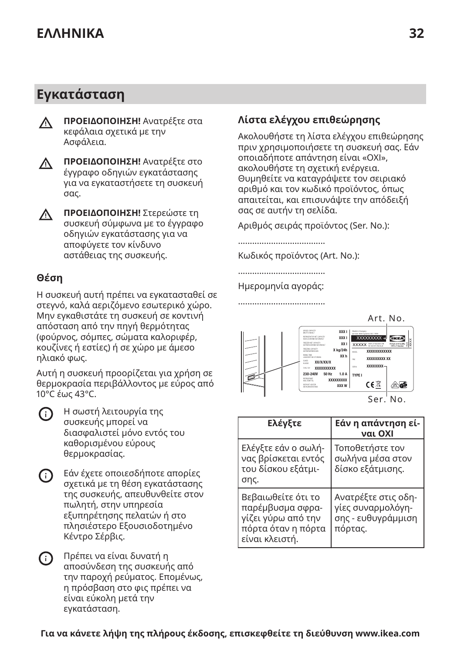# **Εγκατάσταση**

- **ΠΡΟΕΙΔΟΠΟΙΗΣΗ!** Ανατρέξτε στα  $\wedge$ κεφάλαια σχετικά με την Ασφάλεια.
- **ΠΡΟΕΙΔΟΠΟΙΗΣΗ!** Ανατρέξτε στο Λ. έγγραφο οδηγιών εγκατάστασης για να εγκαταστήσετε τη συσκευή σας.
- **ΠΡΟΕΙΔΟΠΟΙΗΣΗ!** Στερεώστε τη Λ. συσκευή σύμφωνα με το έγγραφο οδηγιών εγκατάστασης για να αποφύγετε τον κίνδυνο αστάθειας της συσκευής.

### **Θέση**

Η συσκευή αυτή πρέπει να εγκατασταθεί σε στεγνό, καλά αεριζόμενο εσωτερικό χώρο. Μην εγκαθιστάτε τη συσκευή σε κοντινή απόσταση από την πηγή θερμότητας (φούρνος, σόμπες, σώματα καλοριφέρ, κουζίνες ή εστίες) ή σε χώρο με άμεσο ηλιακό φως.

Αυτή η συσκευή προορίζεται για χρήση σε θερμοκρασία περιβάλλοντος με εύρος από 10°C έως 43°C.

| ı<br>۰,<br>. .<br>× |
|---------------------|
|---------------------|

Η σωστή λειτουργία της συσκευής μπορεί να διασφαλιστεί μόνο εντός του καθορισμένου εύρους θερμοκρασίας.

- Εάν έχετε οποιεσδήποτε απορίες G) σχετικά με τη θέση εγκατάστασης της συσκευής, απευθυνθείτε στον πωλητή, στην υπηρεσία εξυπηρέτησης πελατών ή στο πλησιέστερο Εξουσιοδοτημένο Κέντρο Σέρβις.
- Πρέπει να είναι δυνατή η αποσύνδεση της συσκευής από την παροχή ρεύματος. Επομένως, η πρόσβαση στο φις πρέπει να είναι εύκολη μετά την εγκατάσταση.

### **Λίστα ελέγχου επιθεώρησης**

Ακολουθήστε τη λίστα ελέγχου επιθεώρησης πριν χρησιμοποιήσετε τη συσκευή σας. Εάν οποιαδήποτε απάντηση είναι «ΟΧΙ», ακολουθήστε τη σχετική ενέργεια. Θυμηθείτε να καταγράψετε τον σειριακό αριθμό και τον κωδικό προϊόντος, όπως απαιτείται, και επισυνάψτε την απόδειξή σας σε αυτήν τη σελίδα.

Αριθμός σειράς προϊόντος (Ser. No.):

Κωδικός προϊόντος (Art. No.):

.....................................

.....................................

Ημερομηνία αγοράς: .....................................



Ser. No.

| Ελένξτε                                                                                              | Εάν η απάντηση εί-<br>ναι ΟΧΙ                                             |
|------------------------------------------------------------------------------------------------------|---------------------------------------------------------------------------|
| Ελέγξτε εάν ο σωλή-<br>νας βρίσκεται εντός<br>του δίσκου εξάτμι-<br>σης.                             | Τοποθετήστε τον<br>σωλήνα μέσα στον<br>δίσκο εξάτμισης.                   |
| Βεβαιωθείτε ότι το<br>παρέμβυσμα σφρα-<br>γίζει γύρω από την<br>πόρτα όταν η πόρτα<br>είναι κλειστή. | Ανατρέξτε στις οδη-<br>γίες συναρμολόγη-<br>σης - ευθυγράμμιση<br>πόρτας. |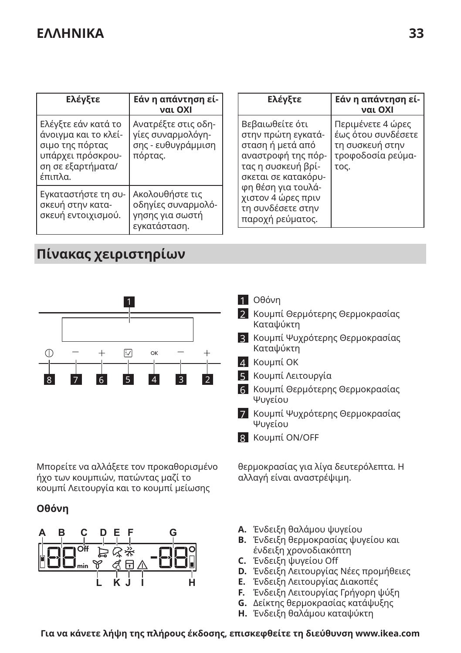| Ελέγξτε                                                                                                             | Εάν η απάντηση εί-<br>ναι ΟΧΙ                                             |  | Ελέγξτε                                                                                                                      | Εάν η απάντηση εί-<br>ναι ΟΧΙ                                                           |
|---------------------------------------------------------------------------------------------------------------------|---------------------------------------------------------------------------|--|------------------------------------------------------------------------------------------------------------------------------|-----------------------------------------------------------------------------------------|
| Ελέγξτε εάν κατά το<br>άνοιγμα και το κλεί-<br>σιμο της πόρτας<br>υπάρχει πρόσκρου-<br>ση σε εξαρτήματα/<br>έπιπλα. | Ανατρέξτε στις οδη-<br>γίες συναρμολόγη-<br>σης - ευθυγράμμιση<br>πόρτας. |  | Βεβαιωθείτε ότι<br>στην πρώτη εγκατά-<br>σταση ή μετά από<br>αναστροφή της πόρ-<br>τας η συσκευή βρί-<br>σκεται σε κατακόρυ- | Περιμένετε 4 ώρες<br>έως ότου συνδέσετε<br>τη συσκευή στην<br>τροφοδοσία ρεύμα-<br>τος. |
| Εγκαταστήστε τη συ-<br>σκευή στην κατα-<br>σκευή εντοιχισμού.                                                       | Ακολουθήστε τις<br>οδηγίες συναρμολό-<br>γησης για σωστή<br>εγκατάσταση.  |  | φη θέση για τουλά-<br>χιστον 4 ώρες πριν<br>τη συνδέσετε στην<br>παροχή ρεύματος.                                            |                                                                                         |

# **Πίνακας χειριστηρίων**



Μπορείτε να αλλάξετε τον προκαθορισμένο ήχο των κουμπιών, πατώντας μαζί το κουμπί Λειτουργία και το κουμπί μείωσης

#### **Οθόνη**



#### 1 Οθόνη

- 2 Κουμπί Θερμότερης Θερμοκρασίας Καταψύκτη
- 3 Κουμπί Ψυχρότερης Θερμοκρασίας Καταψύκτη
- 4 Κουμπί OK
- 5 Κουμπί Λειτουργία
- 6 Κουμπί Θερμότερης Θερμοκρασίας Ψυγείου
- 7 Κουμπί Ψυχρότερης Θερμοκρασίας Ψυγείου
- 8 Κουμπί ON/OFF

θερμοκρασίας για λίγα δευτερόλεπτα. Η αλλαγή είναι αναστρέψιμη.

- **A.** Ένδειξη θαλάμου ψυγείου
- **B.** Ένδειξη θερμοκρασίας ψυγείου και ένδειξη χρονοδιακόπτη
- **C.** Ένδειξη ψυγείου 0ff
- **D.** Ένδειξη Λειτουργίας Νέες προμήθειες
- **E.** Ένδειξη Λειτουργίας Διακοπές
- **F.** Ένδειξη Λειτουργίας Γρήγορη ψύξη
- **G.** Δείκτης θερμοκρασίας κατάψυξης
- **H.** Ένδειξη θαλάμου καταψύκτη

**Για να κάνετε λήψη της πλήρους έκδοσης, επισκεφθείτε τη διεύθυνση www.ikea.com**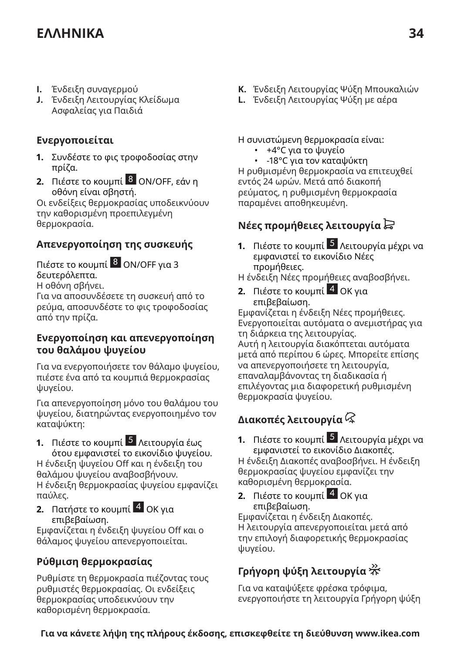- **I.** Ένδειξη συναγερμού
- **J.** Ένδειξη Λειτουργίας Κλείδωμα Ασφαλείας για Παιδιά

#### **Ενεργοποιείται**

- **1.** Συνδέστε το φις τροφοδοσίας στην πρίζα.
- **2.** Πιέστε το κουμπί 8 ON/OFF, εάν η οθόνη είναι σβηστή.

Οι ενδείξεις θερμοκρασίας υποδεικνύουν την καθορισμένη προεπιλεγμένη θερμοκρασία.

### **Απενεργοποίηση της συσκευής**

Πιέστε το κουμπί <sup>8</sup> ON/OFF για 3 δευτερόλεπτα. Η οθόνη σβήνει.

Για να αποσυνδέσετε τη συσκευή από το ρεύμα, αποσυνδέστε το φις τροφοδοσίας από την πρίζα.

#### **Ενεργοποίηση και απενεργοποίηση του θαλάμου ψυγείου**

Για να ενεργοποιήσετε τον θάλαμο ψυγείου, πιέστε ένα από τα κουμπιά θερμοκρασίας ψυγείου.

Για απενεργοποίηση μόνο του θαλάμου του ψυγείου, διατηρώντας ενεργοποιημένο τον καταψύκτη:

**1.** Πιέστε το κουμπί 5 Λειτουργία έως

ότου εμφανιστεί το εικονίδιο ψυγείου. Η ένδειξη ψυγείου 0ff και η ένδειξη του θαλάμου ψυγείου αναβοσβήνουν. Η ένδειξη θερμοκρασίας ψυγείου εμφανίζει παύλες.

**2.** Πατήστε το κουμπί <sup>4</sup> ΟΚ για επιβεβαίωση.

Εμφανίζεται η ένδειξη ψυγείου 0ff και ο θάλαμος ψυγείου απενεργοποιείται.

### **Ρύθμιση θερμοκρασίας**

Ρυθμίστε τη θερμοκρασία πιέζοντας τους ρυθμιστές θερμοκρασίας. Οι ενδείξεις θερμοκρασίας υποδεικνύουν την καθορισμένη θερμοκρασία.

- **K.** Ένδειξη Λειτουργίας Ψύξη Μπουκαλιών
- **L.** Ένδειξη Λειτουργίας Ψύξη με αέρα

Η συνιστώμενη θερμοκρασία είναι:

- +4°C για το ψυγείο
- -18°C για τον καταψύκτη

Η ρυθμισμένη θερμοκρασία να επιτευχθεί εντός 24 ωρών. Μετά από διακοπή ρεύματος, η ρυθμισμένη θερμοκρασία παραμένει αποθηκευμένη.

### **Νέες προμήθειες λειτουργία**

- **1.** Πιέστε το κουμπί <sup>5</sup> Λειτουργία μέχρι να εμφανιστεί το εικονίδιο Νέες προμήθειες.
- Η ένδειξη Νέες προμήθειες αναβοσβήνει.
- **2.** Πιέστε το κουμπί <sup>4</sup> ΟΚ για επιβεβαίωση.

Εμφανίζεται η ένδειξη Νέες προμήθειες. Ενεργοποιείται αυτόματα ο ανεμιστήρας για τη διάρκεια της λειτουργίας.

Αυτή η λειτουργία διακόπτεται αυτόματα μετά από περίπου 6 ώρες. Μπορείτε επίσης να απενεργοποιήσετε τη λειτουργία, επαναλαμβάνοντας τη διαδικασία ή επιλέγοντας μια διαφορετική ρυθμισμένη θερμοκρασία ψυγείου.

### **Διακοπές λειτουργία**

**1.** Πιέστε το κουμπί 5 Λειτουργία μέχρι να εμφανιστεί το εικονίδιο Διακοπές.

Η ένδειξη Διακοπές αναβοσβήνει. Η ένδειξη θερμοκρασίας ψυγείου εμφανίζει την καθορισμένη θερμοκρασία.

**2.** Πιέστε το κουμπί <sup>4</sup> ΟΚ για επιβεβαίωση.

Εμφανίζεται η ένδειξη Διακοπές. Η λειτουργία απενεργοποιείται μετά από την επιλογή διαφορετικής θερμοκρασίας ψυγείου.

### **Γρήγορη ψύξη λειτουργία**

Για να καταψύξετε φρέσκα τρόφιμα, ενεργοποιήστε τη λειτουργία Γρήγορη ψύξη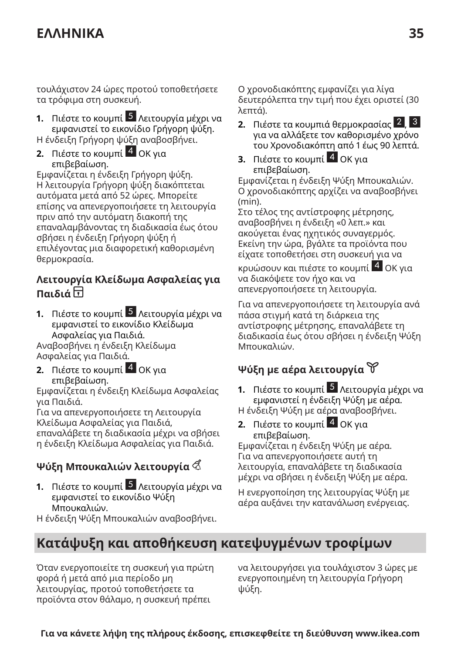τουλάχιστον 24 ώρες προτού τοποθετήσετε τα τρόφιμα στη συσκευή.

**1.** Πιέστε το κουμπί 5 Λειτουργία μέχρι να εμφανιστεί το εικονίδιο Γρήγορη ψύξη. Η ένδειξη Γρήγορη ψύξη αναβοσβήνει.

**2.** Πιέστε το κουμπί <mark>4</mark> ΟΚ για επιβεβαίωση.

Εμφανίζεται η ένδειξη Γρήγορη ψύξη. Η λειτουργία Γρήγορη ψύξη διακόπτεται αυτόματα μετά από 52 ώρες. Μπορείτε επίσης να απενεργοποιήσετε τη λειτουργία πριν από την αυτόματη διακοπή της επαναλαμβάνοντας τη διαδικασία έως ότου σβήσει η ένδειξη Γρήγορη ψύξη ή επιλέγοντας μια διαφορετική καθορισμένη θερμοκρασία.

#### **Λειτουργία Κλείδωμα Ασφαλείας για Παιδιά**

**1.** Πιέστε το κουμπί 5 Λειτουργία μέχρι να εμφανιστεί το εικονίδιο Κλείδωμα Ασφαλείας για Παιδιά. Αναβοσβήνει η ένδειξη Κλείδωμα

Ασφαλείας για Παιδιά.

**2.** Πιέστε το κουμπί <mark>4</mark> ΟΚ για επιβεβαίωση.

Εμφανίζεται η ένδειξη Κλείδωμα Ασφαλείας για Παιδιά.

Για να απενεργοποιήσετε τη Λειτουργία Κλείδωμα Ασφαλείας για Παιδιά,

επαναλάβετε τη διαδικασία μέχρι να σβήσει η ένδειξη Κλείδωμα Ασφαλείας για Παιδιά.

### **Ψύξη Μπουκαλιών λειτουργία**

**1.** Πιέστε το κουμπί 5 Λειτουργία μέχρι να εμφανιστεί το εικονίδιο Ψύξη Μπουκαλιών.

Η ένδειξη Ψύξη Μπουκαλιών αναβοσβήνει.

Ο χρονοδιακόπτης εμφανίζει για λίγα δευτερόλεπτα την τιμή που έχει οριστεί (30 λεπτά).

- **2.** Πιέστε τα κουμπιά θερμοκρασίας 2 , 3 για να αλλάξετε τον καθορισμένο χρόνο του Χρονοδιακόπτη από 1 έως 90 λεπτά.
- **3.** Πιέστε το κουμπί <sup>4</sup> ΟΚ για επιβεβαίωση.

Εμφανίζεται η ένδειξη Ψύξη Μπουκαλιών. Ο χρονοδιακόπτης αρχίζει να αναβοσβήνει (min).

Στο τέλος της αντίστροφης μέτρησης, αναβοσβήνει η ένδειξη «0 λεπ.» και ακούγεται ένας ηχητικός συναγερμός. Εκείνη την ώρα, βγάλτε τα προϊόντα που είχατε τοποθετήσει στη συσκευή για να

κρυώσουν και πιέστε το κουμπί 4 OK για να διακόψετε τον ήχο και να απενεργοποιήσετε τη λειτουργία.

Για να απενεργοποιήσετε τη λειτουργία ανά πάσα στιγμή κατά τη διάρκεια της αντίστροφης μέτρησης, επαναλάβετε τη διαδικασία έως ότου σβήσει η ένδειξη Ψύξη Μπουκαλιών.

### **Ψύξη με αέρα λειτουργία**

- **1.** Πιέστε το κουμπί 5 Λειτουργία μέχρι να εμφανιστεί η ένδειξη Ψύξη με αέρα. Η ένδειξη Ψύξη με αέρα αναβοσβήνει.
- **2.** Πιέστε το κουμπί <mark>4</mark> ΟΚ για επιβεβαίωση.

Εμφανίζεται η ένδειξη Ψύξη με αέρα. Για να απενεργοποιήσετε αυτή τη λειτουργία, επαναλάβετε τη διαδικασία μέχρι να σβήσει η ένδειξη Ψύξη με αέρα.

Η ενεργοποίηση της λειτουργίας Ψύξη με αέρα αυξάνει την κατανάλωση ενέργειας.

# **Κατάψυξη και αποθήκευση κατεψυγμένων τροφίμων**

Όταν ενεργοποιείτε τη συσκευή για πρώτη φορά ή μετά από μια περίοδο μη λειτουργίας, προτού τοποθετήσετε τα προϊόντα στον θάλαμο, η συσκευή πρέπει

να λειτουργήσει για τουλάχιστον 3 ώρες με ενεργοποιημένη τη λειτουργία Γρήγορη ψύξη.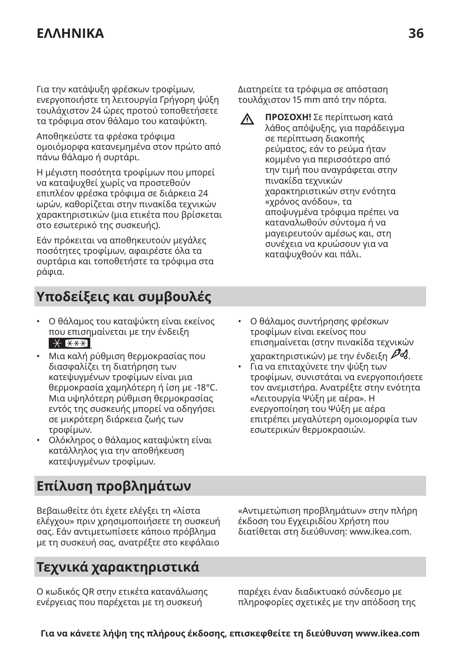Για την κατάψυξη φρέσκων τροφίμων, ενεργοποιήστε τη λειτουργία Γρήγορη ψύξη τουλάχιστον 24 ώρες προτού τοποθετήσετε τα τρόφιμα στον θάλαμο του καταψύκτη.

Αποθηκεύστε τα φρέσκα τρόφιμα ομοιόμορφα κατανεμημένα στον πρώτο από πάνω θάλαμο ή συρτάρι.

Η μέγιστη ποσότητα τροφίμων που μπορεί να καταψυχθεί χωρίς να προστεθούν επιπλέον φρέσκα τρόφιμα σε διάρκεια 24 ωρών, καθορίζεται στην πινακίδα τεχνικών χαρακτηριστικών (μια ετικέτα που βρίσκεται στο εσωτερικό της συσκευής).

Εάν πρόκειται να αποθηκευτούν μεγάλες ποσότητες τροφίμων, αφαιρέστε όλα τα συρτάρια και τοποθετήστε τα τρόφιμα στα ράφια.

Διατηρείτε τα τρόφιμα σε απόσταση τουλάχιστον 15 mm από την πόρτα.

**ΠΡΟΣΟΧΗ!** Σε περίπτωση κατά  $\Lambda$ λάθος απόψυξης, για παράδειγμα σε περίπτωση διακοπής ρεύματος, εάν το ρεύμα ήταν κομμένο για περισσότερο από την τιμή που αναγράφεται στην πινακίδα τεχνικών χαρακτηριστικών στην ενότητα «χρόνος ανόδου», τα αποψυγμένα τρόφιμα πρέπει να καταναλωθούν σύντομα ή να μαγειρευτούν αμέσως και, στη συνέχεια να κρυώσουν για να καταψυχθούν και πάλι.

# **Υποδείξεις και συμβουλές**

- Ο θάλαμος του καταψύκτη είναι εκείνος που επισημαίνεται με την ένδειξη .
- Μια καλή ρύθμιση θερμοκρασίας που διασφαλίζει τη διατήρηση των κατεψυγμένων τροφίμων είναι μια θερμοκρασία χαμηλότερη ή ίση με -18°C. Μια υψηλότερη ρύθμιση θερμοκρασίας εντός της συσκευής μπορεί να οδηγήσει σε μικρότερη διάρκεια ζωής των τροφίμων.
- Ολόκληρος ο θάλαμος καταψύκτη είναι κατάλληλος για την αποθήκευση κατεψυγμένων τροφίμων.
- Ο θάλαμος συντήρησης φρέσκων τροφίμων είναι εκείνος που επισημαίνεται (στην πινακίδα τεχνικών χαρακτηριστικών) με την ένδειξη  $\mathscr{P}d$ .
- Για να επιταχύνετε την ψύξη των τροφίμων, συνιστάται να ενεργοποιήσετε τον ανεμιστήρα. Ανατρέξτε στην ενότητα «Λειτουργία Ψύξη με αέρα». Η ενεργοποίηση του Ψύξη με αέρα επιτρέπει μεγαλύτερη ομοιομορφία των εσωτερικών θερμοκρασιών.

# **Επίλυση προβλημάτων**

Βεβαιωθείτε ότι έχετε ελέγξει τη «λίστα ελέγχου» πριν χρησιμοποιήσετε τη συσκευή σας. Εάν αντιμετωπίσετε κάποιο πρόβλημα με τη συσκευή σας, ανατρέξτε στο κεφάλαιο

# **Τεχνικά χαρακτηριστικά**

Ο κωδικός QR στην ετικέτα κατανάλωσης ενέργειας που παρέχεται με τη συσκευή

«Αντιμετώπιση προβλημάτων» στην πλήρη έκδοση του Εγχειριδίου Χρήστη που διατίθεται στη διεύθυνση: www.ikea.com.

παρέχει έναν διαδικτυακό σύνδεσμο με πληροφορίες σχετικές με την απόδοση της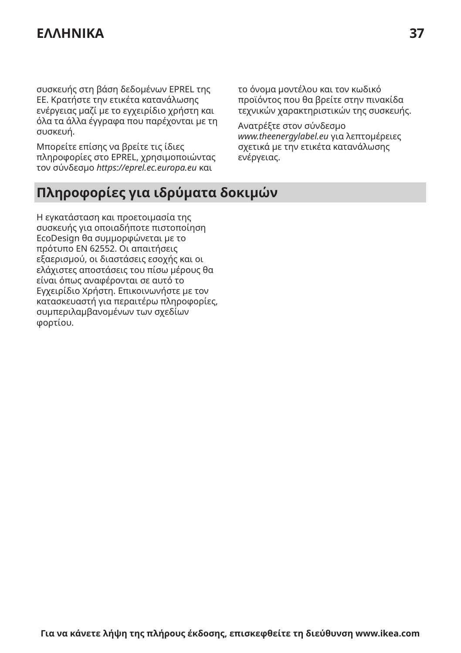συσκευής στη βάση δεδομένων EPREL της ΕΕ. Κρατήστε την ετικέτα κατανάλωσης ενέργειας μαζί με το εγχειρίδιο χρήστη και όλα τα άλλα έγγραφα που παρέχονται με τη συσκευή.

Μπορείτε επίσης να βρείτε τις ίδιες πληροφορίες στο EPREL, χρησιμοποιώντας τον σύνδεσμο *https://eprel.ec.europa.eu* και

το όνομα μοντέλου και τον κωδικό προϊόντος που θα βρείτε στην πινακίδα τεχνικών χαρακτηριστικών της συσκευής.

Ανατρέξτε στον σύνδεσμο *www.theenergylabel.eu* για λεπτομέρειες σχετικά με την ετικέτα κατανάλωσης ενέργειας.

# **Πληροφορίες για ιδρύματα δοκιμών**

Η εγκατάσταση και προετοιμασία της συσκευής για οποιαδήποτε πιστοποίηση EcoDesign θα συμμορφώνεται με το πρότυπο EN 62552. Οι απαιτήσεις εξαερισμού, οι διαστάσεις εσοχής και οι ελάχιστες αποστάσεις του πίσω μέρους θα είναι όπως αναφέρονται σε αυτό το Εγχειρίδιο Χρήστη. Επικοινωνήστε με τον κατασκευαστή για περαιτέρω πληροφορίες, συμπεριλαμβανομένων των σχεδίων φορτίου.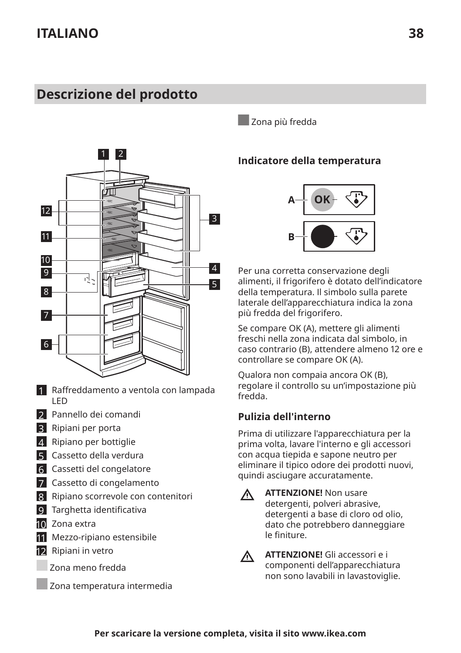# <span id="page-37-0"></span>**Descrizione del prodotto**



- 1 Raffreddamento a ventola con lampada LED
- 2 Pannello dei comandi
- 3 Ripiani per porta
- 4 Ripiano per bottiglie
- 5 Cassetto della verdura
- 6 Cassetti del congelatore
- 7 Cassetto di congelamento
- 8 Ripiano scorrevole con contenitori
- 9 Targhetta identificativa
- 10 Zona extra
- 11 Mezzo-ripiano estensibile
- 12 Ripiani in vetro
	- Zona meno fredda
	- Zona temperatura intermedia

Zona più fredda

#### **Indicatore della temperatura**



Per una corretta conservazione degli alimenti, il frigorifero è dotato dell'indicatore della temperatura. Il simbolo sulla parete laterale dell'apparecchiatura indica la zona più fredda del frigorifero.

Se compare OK (A), mettere gli alimenti freschi nella zona indicata dal simbolo, in caso contrario (B), attendere almeno 12 ore e controllare se compare OK (A).

Qualora non compaia ancora OK (B), regolare il controllo su un'impostazione più fredda.

#### **Pulizia dell'interno**

Prima di utilizzare l'apparecchiatura per la prima volta, lavare l'interno e gli accessori con acqua tiepida e sapone neutro per eliminare il tipico odore dei prodotti nuovi, quindi asciugare accuratamente.

 $\Lambda$ 

**ATTENZIONE!** Non usare detergenti, polveri abrasive, detergenti a base di cloro od olio, dato che potrebbero danneggiare le finiture.



**ATTENZIONE!** Gli accessori e i componenti dell'apparecchiatura non sono lavabili in lavastoviglie.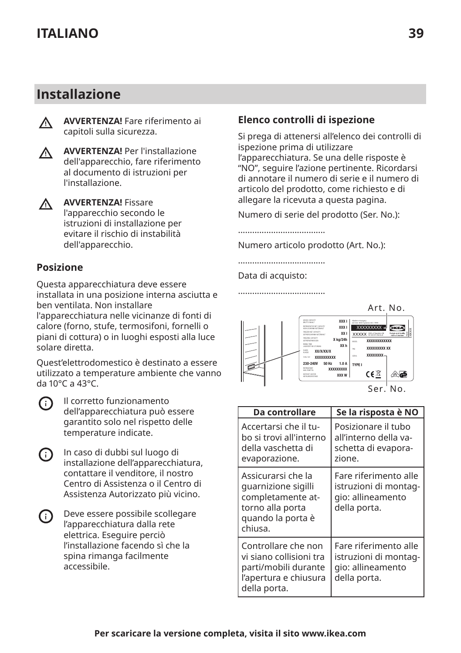### **Installazione**



**AVVERTENZA!** Fare riferimento ai capitoli sulla sicurezza.



**AVVERTENZA!** Per l'installazione dell'apparecchio, fare riferimento al documento di istruzioni per l'installazione.



**AVVERTENZA!** Fissare l'apparecchio secondo le istruzioni di installazione per evitare il rischio di instabilità dell'apparecchio.

#### **Posizione**

Questa apparecchiatura deve essere installata in una posizione interna asciutta e ben ventilata. Non installare l'apparecchiatura nelle vicinanze di fonti di calore (forno, stufe, termosifoni, fornelli o piani di cottura) o in luoghi esposti alla luce solare diretta.

Quest'elettrodomestico è destinato a essere utilizzato a temperature ambiente che vanno da 10°C a 43°C.



Il corretto funzionamento dell'apparecchiatura può essere garantito solo nel rispetto delle temperature indicate.

- In caso di dubbi sul luogo di G) installazione dell'apparecchiatura, contattare il venditore, il nostro Centro di Assistenza o il Centro di Assistenza Autorizzato più vicino.
- Deve essere possibile scollegare  $(i)$ l'apparecchiatura dalla rete elettrica. Eseguire perciò l'installazione facendo sì che la spina rimanga facilmente accessibile.

#### **Elenco controlli di ispezione**

Si prega di attenersi all'elenco dei controlli di ispezione prima di utilizzare l'apparecchiatura. Se una delle risposte è "NO", seguire l'azione pertinente. Ricordarsi di annotare il numero di serie e il numero di articolo del prodotto, come richiesto e di allegare la ricevuta a questa pagina.

Numero di serie del prodotto (Ser. No.):

Numero articolo prodotto (Art. No.):

Data di acquisto:



Ser. No.

| Da controllare                                                                                                     | Se la risposta è NO                                                                 |
|--------------------------------------------------------------------------------------------------------------------|-------------------------------------------------------------------------------------|
| Accertarsi che il tu-<br>bo și trovi all'interno<br>della vaschetta di<br>evaporazione.                            | Posizionare il tubo<br>all'interno della va-<br>schetta di evapora-<br>zione.       |
| Assicurarsi che la<br>quarnizione sigilli<br>completamente at-<br>torno alla porta<br>quando la porta è<br>chiusa. | Fare riferimento alle<br>istruzioni di montag-<br>gio: allineamento<br>della porta. |
| Controllare che non<br>vi siano collisioni tra<br>parti/mobili durante<br>l'apertura e chiusura<br>della porta.    | Fare riferimento alle<br>istruzioni di montag-<br>gio: allineamento<br>della porta. |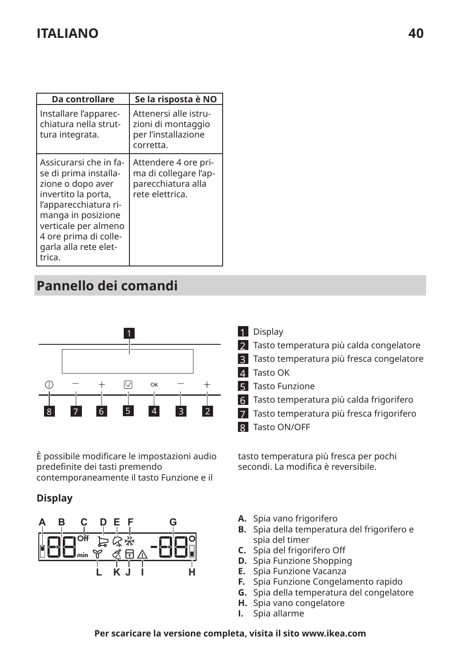| Da controllare                                                                                                                                                                                                                 | Se la risposta è NO                                                                    |
|--------------------------------------------------------------------------------------------------------------------------------------------------------------------------------------------------------------------------------|----------------------------------------------------------------------------------------|
| Installare l'apparec-<br>chiatura nella strut-<br>tura integrata.                                                                                                                                                              | Attenersi alle istru-<br>zioni di montaggio<br>per l'installazione<br>corretta.        |
| Assicurarsi che in fa-<br>se di prima installa-<br>zione o dopo aver<br>invertito la porta,<br>l'apparecchiatura ri-<br>manga in posizione<br>verticale per almeno<br>4 ore prima di colle-<br>garla alla rete elet-<br>trica. | Attendere 4 ore pri-<br>ma di collegare l'ap-<br>parecchiatura alla<br>rete elettrica. |

# **Pannello dei comandi**



È possibile modificare le impostazioni audio predefinite dei tasti premendo contemporaneamente il tasto Funzione e il

#### **Display**



- 1 Display
- 2 Tasto temperatura più calda congelatore
- 3 Tasto temperatura più fresca congelatore
- 4 Tasto OK
- **5** Tasto Funzione
- 6 Tasto temperatura più calda frigorifero
- 7 Tasto temperatura più fresca frigorifero
- 8 Tasto ON/OFF

tasto temperatura più fresca per pochi secondi. La modifica è reversibile.

- **A.** Spia vano frigorifero
- **B.** Spia della temperatura del frigorifero e spia del timer
- **C.** Spia del frigorifero 0ff
- **D.** Spia Funzione Shopping
- **E.** Spia Funzione Vacanza
- **F.** Spia Funzione Congelamento rapido
- **G.** Spia della temperatura del congelatore
- **H.** Spia vano congelatore
- **I.** Spia allarme

#### **Per scaricare la versione completa, visita il sito www.ikea.com**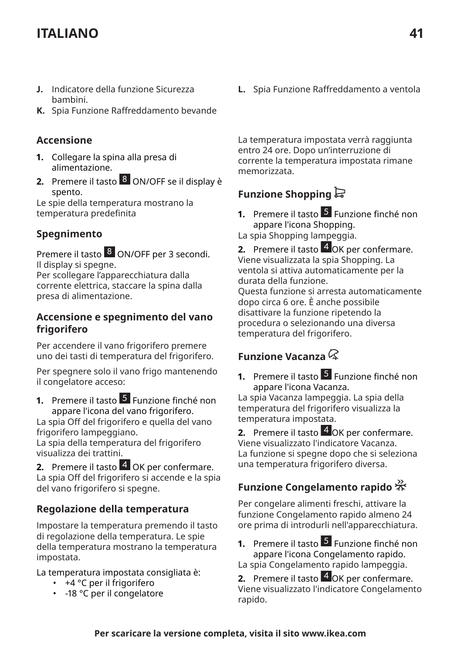- **J.** Indicatore della funzione Sicurezza bambini.
- **K.** Spia Funzione Raffreddamento bevande

#### **Accensione**

- **1.** Collegare la spina alla presa di alimentazione.
- **2.** Premere il tasto 8 ON/OFF se il display è spento.

Le spie della temperatura mostrano la temperatura predefinita

#### **Spegnimento**

Premere il tasto 8 ON/OFF per 3 secondi. Il display si spegne.

Per scollegare l'apparecchiatura dalla corrente elettrica, staccare la spina dalla presa di alimentazione.

#### **Accensione e spegnimento del vano frigorifero**

Per accendere il vano frigorifero premere uno dei tasti di temperatura del frigorifero.

Per spegnere solo il vano frigo mantenendo il congelatore acceso:

**1.** Premere il tasto 5 Funzione finché non appare l'icona del vano frigorifero.

La spia 0ff del frigorifero e quella del vano frigorifero lampeggiano.

La spia della temperatura del frigorifero visualizza dei trattini.

**2.** Premere il tasto 4 OK per confermare. La spia 0ff del frigorifero si accende e la spia del vano frigorifero si spegne.

#### **Regolazione della temperatura**

Impostare la temperatura premendo il tasto di regolazione della temperatura. Le spie della temperatura mostrano la temperatura impostata.

La temperatura impostata consigliata è:

- +4 °C per il frigorifero
- -18 °C per il congelatore

**L.** Spia Funzione Raffreddamento a ventola

La temperatura impostata verrà raggiunta entro 24 ore. Dopo un'interruzione di corrente la temperatura impostata rimane memorizzata.

### **Funzione Shopping**

**1.** Premere il tasto 5 Funzione finché non appare l'icona Shopping.

La spia Shopping lampeggia.

**2.** Premere il tasto 4 OK per confermare. Viene visualizzata la spia Shopping. La ventola si attiva automaticamente per la durata della funzione.

Questa funzione si arresta automaticamente dopo circa 6 ore. È anche possibile disattivare la funzione ripetendo la procedura o selezionando una diversa temperatura del frigorifero.

### **Funzione Vacanza**

**1.** Premere il tasto 5 Funzione finché non appare l'icona Vacanza.

La spia Vacanza lampeggia. La spia della temperatura del frigorifero visualizza la temperatura impostata.

**2.** Premere il tasto 4 OK per confermare. Viene visualizzato l'indicatore Vacanza. La funzione si spegne dopo che si seleziona una temperatura frigorifero diversa.

### **Funzione Congelamento rapido**

Per congelare alimenti freschi, attivare la funzione Congelamento rapido almeno 24 ore prima di introdurli nell'apparecchiatura.

**1.** Premere il tasto 5 Funzione finché non appare l'icona Congelamento rapido. La spia Congelamento rapido lampeggia.

**2.** Premere il tasto 4 OK per confermare. Viene visualizzato l'indicatore Congelamento rapido.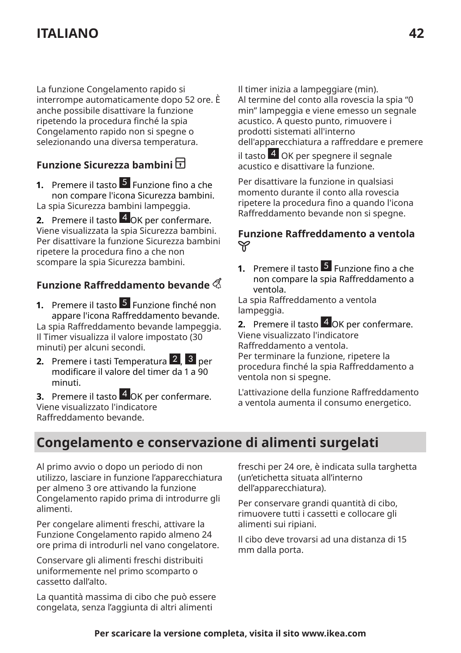La funzione Congelamento rapido si interrompe automaticamente dopo 52 ore. È anche possibile disattivare la funzione ripetendo la procedura finché la spia Congelamento rapido non si spegne o selezionando una diversa temperatura.

### **Funzione Sicurezza bambini**

**1.** Premere il tasto 5 Funzione fino a che non compare l'icona Sicurezza bambini. La spia Sicurezza bambini lampeggia.

**2.** Premere il tasto 4 OK per confermare. Viene visualizzata la spia Sicurezza bambini. Per disattivare la funzione Sicurezza bambini ripetere la procedura fino a che non scompare la spia Sicurezza bambini.

#### **Funzione Raffreddamento bevande**  $\triangle$

**1.** Premere il tasto 5 Funzione finché non appare l'icona Raffreddamento bevande. La spia Raffreddamento bevande lampeggia. Il Timer visualizza il valore impostato (30 minuti) per alcuni secondi.

**2.** Premere i tasti Temperatura 2, 3 per modificare il valore del timer da 1 a 90 minuti.

**3.** Premere il tasto 4 OK per confermare. Viene visualizzato l'indicatore Raffreddamento bevande.

Il timer inizia a lampeggiare (min). Al termine del conto alla rovescia la spia "0 min" lampeggia e viene emesso un segnale acustico. A questo punto, rimuovere i prodotti sistemati all'interno dell'apparecchiatura a raffreddare e premere

il tasto <sup>4</sup> OK per spegnere il segnale acustico e disattivare la funzione.

Per disattivare la funzione in qualsiasi momento durante il conto alla rovescia ripetere la procedura fino a quando l'icona Raffreddamento bevande non si spegne.

# Funzione Raffreddamento a ventola<br> $\varphi$

**1.** Premere il tasto 5 Funzione fino a che non compare la spia Raffreddamento a ventola.

La spia Raffreddamento a ventola lampeggia.

**2.** Premere il tasto 4 OK per confermare. Viene visualizzato l'indicatore Raffreddamento a ventola.

Per terminare la funzione, ripetere la procedura finché la spia Raffreddamento a ventola non si spegne.

L'attivazione della funzione Raffreddamento a ventola aumenta il consumo energetico.

### **Congelamento e conservazione di alimenti surgelati**

Al primo avvio o dopo un periodo di non utilizzo, lasciare in funzione l'apparecchiatura per almeno 3 ore attivando la funzione Congelamento rapido prima di introdurre gli alimenti.

Per congelare alimenti freschi, attivare la Funzione Congelamento rapido almeno 24 ore prima di introdurli nel vano congelatore.

Conservare gli alimenti freschi distribuiti uniformemente nel primo scomparto o cassetto dall'alto.

La quantità massima di cibo che può essere congelata, senza l'aggiunta di altri alimenti

freschi per 24 ore, è indicata sulla targhetta (un'etichetta situata all'interno dell'apparecchiatura).

Per conservare grandi quantità di cibo, rimuovere tutti i cassetti e collocare gli alimenti sui ripiani.

Il cibo deve trovarsi ad una distanza di 15 mm dalla porta.

#### **Per scaricare la versione completa, visita il sito www.ikea.com**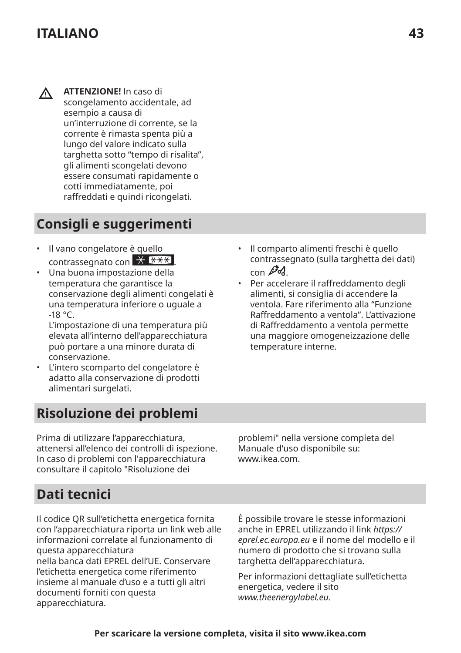$\wedge$ **ATTENZIONE!** In caso di scongelamento accidentale, ad esempio a causa di un'interruzione di corrente, se la corrente è rimasta spenta più a lungo del valore indicato sulla targhetta sotto "tempo di risalita", gli alimenti scongelati devono essere consumati rapidamente o cotti immediatamente, poi raffreddati e quindi ricongelati.

# **Consigli e suggerimenti**

- Il vano congelatore è quello contrassegnato con  $\overline{X}$   $\overline{X}$
- Una buona impostazione della temperatura che garantisce la conservazione degli alimenti congelati è una temperatura inferiore o uguale a -18 °C.

L'impostazione di una temperatura più elevata all'interno dell'apparecchiatura può portare a una minore durata di conservazione.

• L'intero scomparto del congelatore è adatto alla conservazione di prodotti alimentari surgelati.

# **Risoluzione dei problemi**

Prima di utilizzare l'apparecchiatura, attenersi all'elenco dei controlli di ispezione. In caso di problemi con l'apparecchiatura consultare il capitolo "Risoluzione dei

problemi" nella versione completa del Manuale d'uso disponibile su: www.ikea.com.

# **Dati tecnici**

Il codice QR sull'etichetta energetica fornita con l'apparecchiatura riporta un link web alle informazioni correlate al funzionamento di questa apparecchiatura

nella banca dati EPREL dell'UE. Conservare l'etichetta energetica come riferimento insieme al manuale d'uso e a tutti gli altri documenti forniti con questa apparecchiatura.

È possibile trovare le stesse informazioni anche in EPREL utilizzando il link *https:// eprel.ec.europa.eu* e il nome del modello e il numero di prodotto che si trovano sulla targhetta dell'apparecchiatura.

Per informazioni dettagliate sull'etichetta energetica, vedere il sito *www.theenergylabel.eu*.

- Il comparto alimenti freschi è quello contrassegnato (sulla targhetta dei dati)  $\cos \beta \lambda$
- Per accelerare il raffreddamento degli alimenti, si consiglia di accendere la ventola. Fare riferimento alla "Funzione Raffreddamento a ventola". L'attivazione di Raffreddamento a ventola permette una maggiore omogeneizzazione delle temperature interne.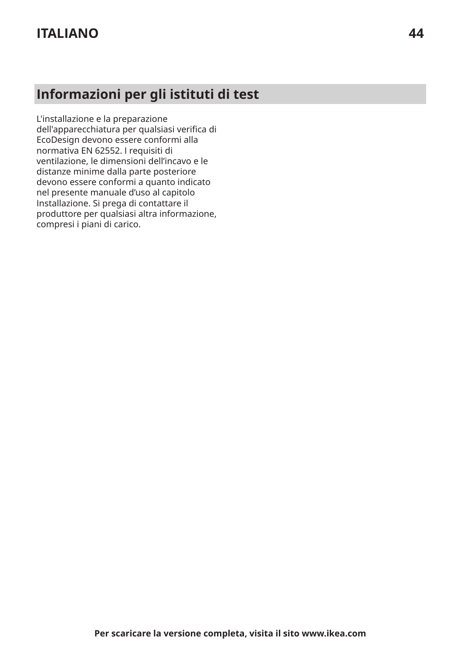# **Informazioni per gli istituti di test**

L'installazione e la preparazione dell'apparecchiatura per qualsiasi verifica di EcoDesign devono essere conformi alla normativa EN 62552. I requisiti di ventilazione, le dimensioni dell'incavo e le distanze minime dalla parte posteriore devono essere conformi a quanto indicato nel presente manuale d'uso al capitolo Installazione. Si prega di contattare il produttore per qualsiasi altra informazione, compresi i piani di carico.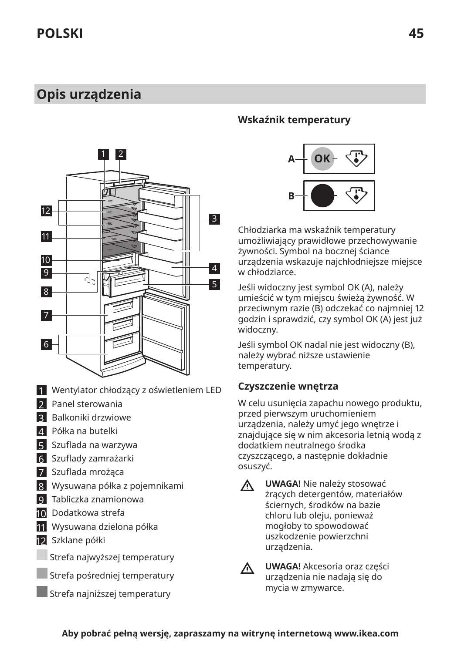### <span id="page-44-0"></span>**Opis urządzenia**



- 1 Wentylator chłodzący z oświetleniem LED
- 2 Panel sterowania
- 3 Balkoniki drzwiowe
- 4 Półka na butelki
- 5 Szuflada na warzywa
- 6 Szuflady zamrażarki
- 7 Szuflada mrożąca
- 8 Wysuwana półka z pojemnikami
- 9 Tabliczka znamionowa
- 10 Dodatkowa strefa
- 11 Wysuwana dzielona półka
- 12 Szklane półki
- Strefa najwyższej temperatury
- Strefa pośredniej temperatury
- Strefa najniższej temperatury

#### **Wskaźnik temperatury**



Chłodziarka ma wskaźnik temperatury umożliwiający prawidłowe przechowywanie żywności. Symbol na bocznej ściance urządzenia wskazuje najchłodniejsze miejsce w chłodziarce.

Jeśli widoczny jest symbol OK (A), należy umieścić w tym miejscu świeżą żywność. W przeciwnym razie (B) odczekać co najmniej 12 godzin i sprawdzić, czy symbol OK (A) jest już widoczny.

Jeśli symbol OK nadal nie jest widoczny (B), należy wybrać niższe ustawienie temperatury.

#### **Czyszczenie wnętrza**

W celu usunięcia zapachu nowego produktu, przed pierwszym uruchomieniem urządzenia, należy umyć jego wnętrze i znajdujące się w nim akcesoria letnią wodą z dodatkiem neutralnego środka czyszczącego, a następnie dokładnie osuszyć.

**UWAGA!** Nie należy stosować  $\Lambda$ żrących detergentów, materiałów ściernych, środków na bazie chloru lub oleju, ponieważ mogłoby to spowodować uszkodzenie powierzchni urządzenia.



**UWAGA!** Akcesoria oraz części urządzenia nie nadają się do mycia w zmywarce.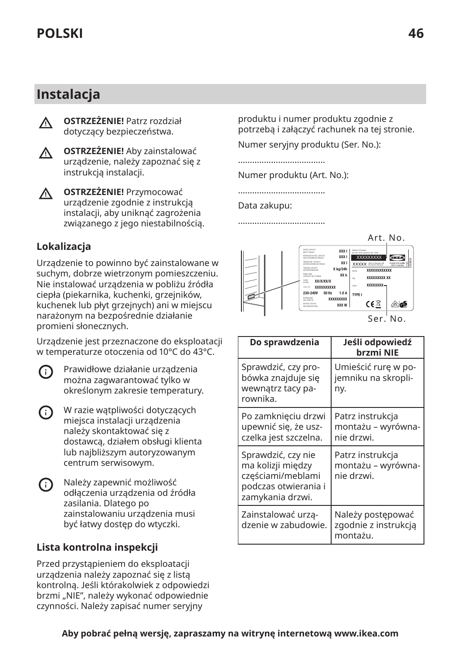### **Instalacja**

- **OSTRZEŻENIE!** Patrz rozdział ∧ dotyczący bezpieczeństwa.
- **OSTRZEŻENIE!** Aby zainstalować ∧ urządzenie, należy zapoznać się z instrukcją instalacji.
- **OSTRZEŻENIE!** Przymocować  $\Lambda$ urządzenie zgodnie z instrukcją instalacji, aby uniknąć zagrożenia związanego z jego niestabilnością.

### **Lokalizacja**

Urządzenie to powinno być zainstalowane w suchym, dobrze wietrzonym pomieszczeniu. Nie instalować urządzenia w pobliżu źródła ciepła (piekarnika, kuchenki, grzejników, kuchenek lub płyt grzejnych) ani w miejscu narażonym na bezpośrednie działanie promieni słonecznych.

Urządzenie jest przeznaczone do eksploatacji w temperaturze otoczenia od 10°C do 43°C.

Prawidłowe działanie urządzenia G) można zagwarantować tylko w określonym zakresie temperatury.

- W razie wątpliwości dotyczących G) miejsca instalacji urządzenia należy skontaktować się z dostawcą, działem obsługi klienta lub najbliższym autoryzowanym centrum serwisowym.
- Należy zapewnić możliwość (i) odłączenia urządzenia od źródła zasilania. Dlatego po zainstalowaniu urządzenia musi być łatwy dostęp do wtyczki.

#### **Lista kontrolna inspekcji**

Przed przystąpieniem do eksploatacji urządzenia należy zapoznać się z listą kontrolną. Jeśli którakolwiek z odpowiedzi brzmi "NIE", należy wykonać odpowiednie czynności. Należy zapisać numer seryjny

produktu i numer produktu zgodnie z potrzebą i załączyć rachunek na tej stronie.

Numer seryjny produktu (Ser. No.):

.....................................

Numer produktu (Art. No.):

.....................................

Data zakupu:

.....................................



| Do sprawdzenia                                                                                           | Jeśli odpowiedź<br>brzmi NIE                          |
|----------------------------------------------------------------------------------------------------------|-------------------------------------------------------|
| Sprawdzić, czy pro-<br>bówka znajduje się<br>wewnatrz tacy pa-<br>rownika.                               | Umieścić rurę w po-<br>jemniku na skropli-<br>ny.     |
| Po zamknięciu drzwi<br>upewnić się, że usz-<br>czelka jest szczelna.                                     | Patrz instrukcja<br>montażu – wyrówna-<br>nie drzwi.  |
| Sprawdzić, czy nie<br>ma kolizji między<br>częściami/meblami<br>podczas otwierania i<br>zamykania drzwi. | Patrz instrukcja<br>montażu – wyrówna-<br>nie drzwi.  |
| Zainstalować urzą-<br>dzenie w zabudowie.                                                                | Należy postępować<br>zgodnie z instrukcją<br>montażu. |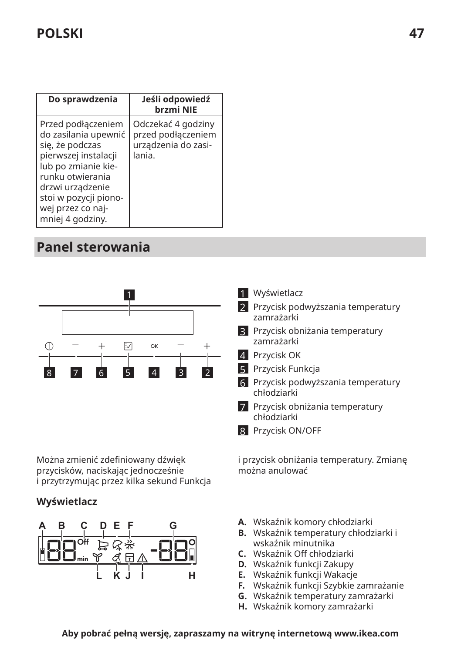| Do sprawdzenia                                                                                                                                                                                                         | Jeśli odpowiedź<br>brzmi NIE                                              |
|------------------------------------------------------------------------------------------------------------------------------------------------------------------------------------------------------------------------|---------------------------------------------------------------------------|
| Przed podłączeniem<br>do zasilania upewnić<br>się, że podczas<br>pierwszej instalacji<br>lub po zmianie kie-<br>runku otwierania<br>drzwi urządzenie<br>stoi w pozycji piono-<br>wej przez co naj-<br>mniej 4 godziny. | Odczekać 4 godziny<br>przed podłączeniem<br>urządzenia do zasi-<br>lania. |

# **Panel sterowania**



Można zmienić zdefiniowany dźwięk przycisków, naciskając jednocześnie i przytrzymując przez kilka sekund Funkcja

#### **Wyświetlacz**





- 2 Przycisk podwyższania temperatury zamrażarki
- 3 Przycisk obniżania temperatury zamrażarki
- 4 Przycisk OK
- 5 Przycisk Funkcja
- 6 Przycisk podwyższania temperatury chłodziarki
- 7 Przycisk obniżania temperatury chłodziarki
- 8 Przycisk ON/OFF

i przycisk obniżania temperatury. Zmianę można anulować

- **A.** Wskaźnik komory chłodziarki
- **B.** Wskaźnik temperatury chłodziarki i wskaźnik minutnika
- **C.** Wskaźnik 0ff chłodziarki
- **D.** Wskaźnik funkcji Zakupy
- **E.** Wskaźnik funkcji Wakacje
- **F.** Wskaźnik funkcji Szybkie zamrażanie
- **G.** Wskaźnik temperatury zamrażarki
- **H.** Wskaźnik komory zamrażarki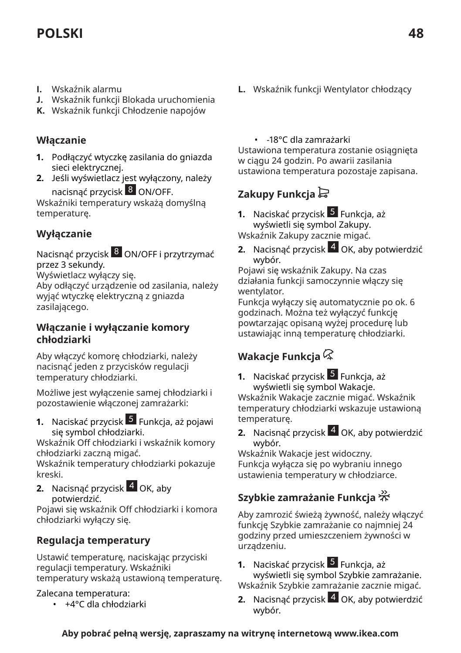# **POLSKI 48**

- **I.** Wskaźnik alarmu
- **J.** Wskaźnik funkcji Blokada uruchomienia
- **K.** Wskaźnik funkcji Chłodzenie napojów

#### **Włączanie**

- **1.** Podłączyć wtyczkę zasilania do gniazda sieci elektrycznej.
- **2.** Jeśli wyświetlacz jest wyłączony, należy nacisnąć przycisk 8 ON/OFF.

Wskaźniki temperatury wskażą domyślną temperaturę.

### **Wyłączanie**

Nacisnąć przycisk 8 ON/OFF i przytrzymać przez 3 sekundy.

Wyświetlacz wyłączy się.

Aby odłączyć urządzenie od zasilania, należy wyjąć wtyczkę elektryczną z gniazda zasilającego.

#### **Włączanie i wyłączanie komory chłodziarki**

Aby włączyć komorę chłodziarki, należy nacisnąć jeden z przycisków regulacji temperatury chłodziarki.

Możliwe jest wyłączenie samej chłodziarki i pozostawienie włączonej zamrażarki:

**1.** Naciskać przycisk <sup>5</sup> Funkcja, aż pojawi się symbol chłodziarki.

Wskaźnik 0ff chłodziarki i wskaźnik komory chłodziarki zaczną migać.

Wskaźnik temperatury chłodziarki pokazuje kreski.

**2.** Nacisnąć przycisk 4 OK, aby potwierdzić.

Pojawi się wskaźnik 0ff chłodziarki i komora chłodziarki wyłączy się.

### **Regulacja temperatury**

Ustawić temperaturę, naciskając przyciski regulacji temperatury. Wskaźniki temperatury wskażą ustawioną temperaturę.

#### Zalecana temperatura:

• +4°C dla chłodziarki

**L.** Wskaźnik funkcji Wentylator chłodzący

#### • -18°C dla zamrażarki

Ustawiona temperatura zostanie osiągnięta w ciągu 24 godzin. Po awarii zasilania ustawiona temperatura pozostaje zapisana.

### **Zakupy Funkcja**

- **1.** Naciskać przycisk 5 Funkcja, aż wyświetli się symbol Zakupy. Wskaźnik Zakupy zacznie migać.
- **2.** Nacisnąć przycisk 4 OK, aby potwierdzić wybór.

Pojawi się wskaźnik Zakupy. Na czas działania funkcji samoczynnie włączy się wentylator.

Funkcja wyłączy się automatycznie po ok. 6 godzinach. Można też wyłączyć funkcję powtarzając opisaną wyżej procedurę lub ustawiając inną temperaturę chłodziarki.

### **Wakacje Funkcja**

- **1.** Naciskać przycisk <sup>5</sup> Funkcja, aż wyświetli się symbol Wakacje. Wskaźnik Wakacje zacznie migać. Wskaźnik temperatury chłodziarki wskazuje ustawioną temperaturę.
- **2.** Nacisnąć przycisk 4 OK, aby potwierdzić wybór.

Wskaźnik Wakacje jest widoczny. Funkcja wyłącza się po wybraniu innego ustawienia temperatury w chłodziarce.

### **Szybkie zamrażanie Funkcja**

Aby zamrozić świeżą żywność, należy włączyć funkcję Szybkie zamrażanie co najmniej 24 godziny przed umieszczeniem żywności w urządzeniu.

- **1.** Naciskać przycisk 5 Funkcja, aż wyświetli się symbol Szybkie zamrażanie. Wskaźnik Szybkie zamrażanie zacznie migać.
- **2.** Nacisnąć przycisk 4 OK, aby potwierdzić wybór.

### **Aby pobrać pełną wersję, zapraszamy na witrynę internetową www.ikea.com**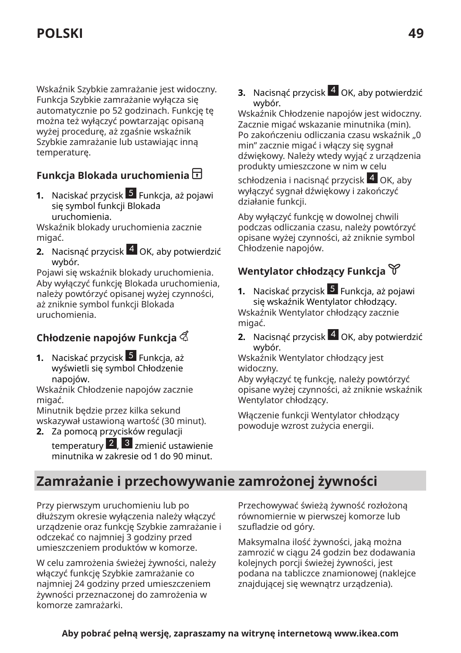Wskaźnik Szybkie zamrażanie jest widoczny. Funkcja Szybkie zamrażanie wyłącza się automatycznie po 52 godzinach. Funkcję tę można też wyłączyć powtarzając opisaną wyżej procedurę, aż zgaśnie wskaźnik Szybkie zamrażanie lub ustawiając inną temperaturę.

### **Funkcja Blokada uruchomienia**

**1.** Naciskać przycisk <sup>5</sup> Funkcja, aż pojawi się symbol funkcji Blokada uruchomienia.

Wskaźnik blokady uruchomienia zacznie migać.

**2.** Nacisnąć przycisk 4 OK, aby potwierdzić wybór.

Pojawi się wskaźnik blokady uruchomienia. Aby wyłączyć funkcję Blokada uruchomienia, należy powtórzyć opisanej wyżej czynności, aż zniknie symbol funkcji Blokada uruchomienia.

### **Chłodzenie napojów Funkcja**

**1.** Naciskać przycisk 5 Funkcja, aż wyświetli się symbol Chłodzenie napojów.

Wskaźnik Chłodzenie napojów zacznie migać.

Minutnik będzie przez kilka sekund wskazywał ustawioną wartość (30 minut).

**2.** Za pomocą przycisków regulacji

temperatury 2, 3 zmienić ustawienie minutnika w zakresie od 1 do 90 minut. **3.** Nacisnąć przycisk 4 OK, aby potwierdzić wybór.

Wskaźnik Chłodzenie napojów jest widoczny. Zacznie migać wskazanie minutnika (min). Po zakończeniu odliczania czasu wskaźnik "0 min" zacznie migać i włączy się sygnał dźwiękowy. Należy wtedy wyjąć z urządzenia produkty umieszczone w nim w celu

schłodzenia i nacisnąć przycisk 4 OK, aby wyłączyć sygnał dźwiękowy i zakończyć działanie funkcji.

Aby wyłączyć funkcję w dowolnej chwili podczas odliczania czasu, należy powtórzyć opisane wyżej czynności, aż zniknie symbol Chłodzenie napojów.

### **Wentylator chłodzący Funkcja**

- **1.** Naciskać przycisk 5 Funkcja, aż pojawi się wskaźnik Wentylator chłodzący. Wskaźnik Wentylator chłodzący zacznie migać.
- **2.** Nacisnąć przycisk 4 OK, aby potwierdzić wybór.

Wskaźnik Wentylator chłodzący jest widoczny.

Aby wyłączyć tę funkcję, należy powtórzyć opisane wyżej czynności, aż zniknie wskaźnik Wentylator chłodzący.

Włączenie funkcji Wentylator chłodzący powoduje wzrost zużycia energii.

### **Zamrażanie i przechowywanie zamrożonej żywności**

Przy pierwszym uruchomieniu lub po dłuższym okresie wyłączenia należy włączyć urządzenie oraz funkcję Szybkie zamrażanie i odczekać co najmniej 3 godziny przed umieszczeniem produktów w komorze.

W celu zamrożenia świeżej żywności, należy włączyć funkcję Szybkie zamrażanie co najmniej 24 godziny przed umieszczeniem żywności przeznaczonej do zamrożenia w komorze zamrażarki.

Przechowywać świeżą żywność rozłożoną równomiernie w pierwszej komorze lub szufladzie od góry.

Maksymalna ilość żywności, jaką można zamrozić w ciągu 24 godzin bez dodawania kolejnych porcji świeżej żywności, jest podana na tabliczce znamionowej (naklejce znajdującej się wewnątrz urządzenia).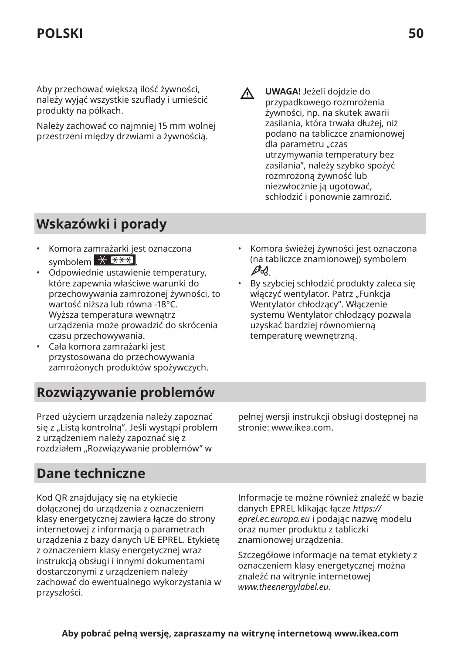Aby przechować większą ilość żywności, należy wyjąć wszystkie szuflady i umieścić produkty na półkach.

Należy zachować co najmniej 15 mm wolnej przestrzeni między drzwiami a żywnością.

**UWAGA!** Jeżeli dojdzie do ΛN<sub>Γ</sub> przypadkowego rozmrożenia żywności, np. na skutek awarii zasilania, która trwała dłużej, niż podano na tabliczce znamionowej dla parametru "czas utrzymywania temperatury bez zasilania", należy szybko spożyć rozmrożoną żywność lub niezwłocznie ją ugotować, schłodzić i ponownie zamrozić.

# **Wskazówki i porady**

- Komora zamrażarki jest oznaczona symbolem  $\overline{X}$   $\overline{***}$
- Odpowiednie ustawienie temperatury, które zapewnia właściwe warunki do przechowywania zamrożonej żywności, to wartość niższa lub równa -18°C. Wyższa temperatura wewnątrz urządzenia może prowadzić do skrócenia czasu przechowywania.
- Cała komora zamrażarki jest przystosowana do przechowywania zamrożonych produktów spożywczych.

# **Rozwiązywanie problemów**

Przed użyciem urządzenia należy zapoznać się z "Listą kontrolną". Jeśli wystąpi problem z urządzeniem należy zapoznać się z rozdziałem "Rozwiązywanie problemów" w

• Komora świeżej żywności jest oznaczona (na tabliczce znamionowej) symbolem  $\beta$ d

• By szybciej schłodzić produkty zaleca się włączyć wentylator. Patrz "Funkcja Wentylator chłodzący". Włączenie systemu Wentylator chłodzący pozwala uzyskać bardziej równomierną temperaturę wewnętrzną.

pełnej wersji instrukcji obsługi dostępnej na stronie: www.ikea.com.

### **Dane techniczne**

Kod QR znajdujący się na etykiecie dołączonej do urządzenia z oznaczeniem klasy energetycznej zawiera łącze do strony internetowej z informacją o parametrach urządzenia z bazy danych UE EPREL. Etykietę z oznaczeniem klasy energetycznej wraz instrukcją obsługi i innymi dokumentami dostarczonymi z urządzeniem należy zachować do ewentualnego wykorzystania w przyszłości.

Informacje te możne również znaleźć w bazie danych EPREL klikając łącze *https:// eprel.ec.europa.eu* i podając nazwę modelu oraz numer produktu z tabliczki znamionowej urządzenia.

Szczegółowe informacje na temat etykiety z oznaczeniem klasy energetycznej można znaleźć na witrynie internetowej *www.theenergylabel.eu*.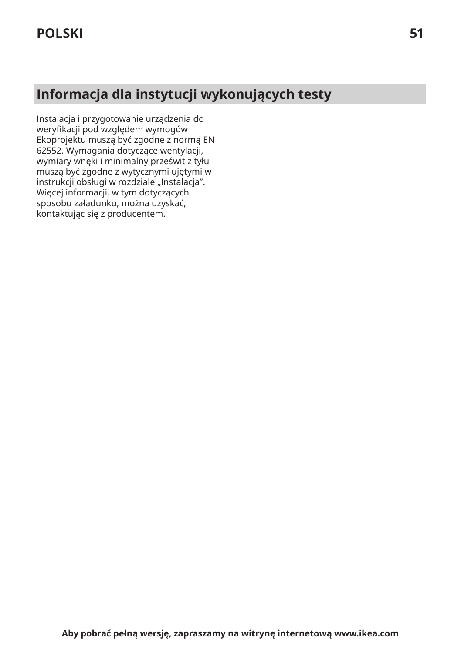# **Informacja dla instytucji wykonujących testy**

Instalacja i przygotowanie urządzenia do weryfikacji pod względem wymogów Ekoprojektu muszą być zgodne z normą EN 62552. Wymagania dotyczące wentylacji, wymiary wnęki i minimalny prześwit z tyłu muszą być zgodne z wytycznymi ujętymi w instrukcji obsługi w rozdziale "Instalacja". Więcej informacji, w tym dotyczących sposobu załadunku, można uzyskać, kontaktując się z producentem.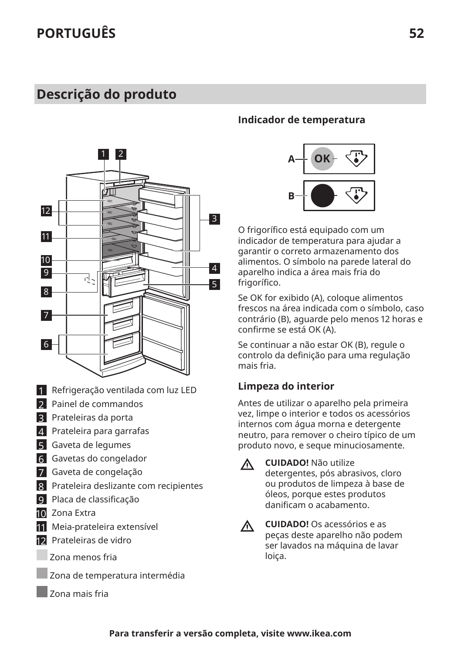### <span id="page-51-0"></span>**Descrição do produto**



- 1 Refrigeração ventilada com luz LED
- 2 Painel de commandos
- 3 Prateleiras da porta
- 4 Prateleira para garrafas
- 5 Gaveta de legumes
- 6 Gavetas do congelador
- 7 Gaveta de congelação
- 8 Prateleira deslizante com recipientes
- 9 Placa de classificação
- 10 Zona Extra
- 11 Meia-prateleira extensível
- 12 Prateleiras de vidro
- Zona menos fria
	- Zona de temperatura intermédia
- Zona mais fria

#### **Indicador de temperatura**



O frigorfico está equipado com um indicador de temperatura para ajudar a garantir o correto armazenamento dos alimentos. O símbolo na parede lateral do aparelho indica a área mais fria do frigorífico.

Se OK for exibido (A), coloque alimentos frescos na área indicada com o símbolo, caso contrário (B), aguarde pelo menos 12 horas e confirme se está OK (A).

Se continuar a não estar OK (B), regule o controlo da defini§ão para uma regulação mais fria.

#### **Limpeza do interior**

Antes de utilizar o aparelho pela primeira vez, limpe o interior e todos os acessórios internos com água morna e detergente neutro, para remover o cheiro típico de um produto novo, e seque minuciosamente.

W

**CUIDADO!** Não utilize detergentes, pós abrasivos, cloro ou produtos de limpeza à base de óleos, porque estes produtos danificam o acabamento.

 $\triangle$ 

**CUIDADO!** Os acessórios e as peças deste aparelho não podem ser lavados na máquina de lavar loiça.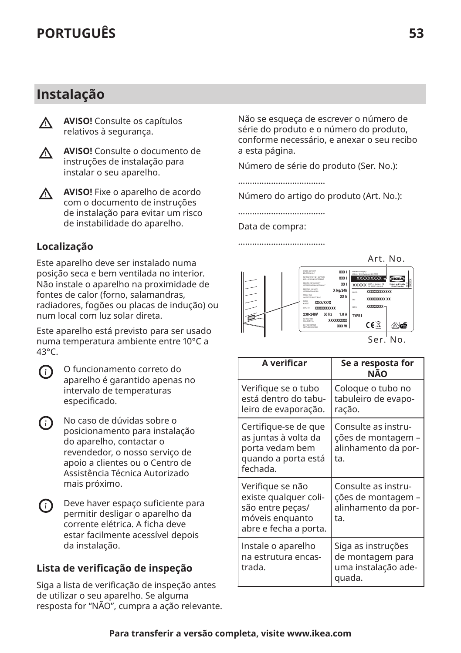### **Instalação**

∧

**AVISO!** Consulte os capítulos relativos à segurança.



**AVISO!** Consulte o documento de instruções de instalação para instalar o seu aparelho.

**AVISO!** Fixe o aparelho de acordo  $\wedge$ com o documento de instruções de instalação para evitar um risco de instabilidade do aparelho.

### **Localização**

Este aparelho deve ser instalado numa posição seca e bem ventilada no interior. Não instale o aparelho na proximidade de fontes de calor (forno, salamandras, radiadores, fogões ou placas de indução) ou num local com luz solar direta.

Este aparelho está previsto para ser usado numa temperatura ambiente entre 10°C a 43°C.



O funcionamento correto do aparelho é garantido apenas no intervalo de temperaturas especificado.

- No caso de dúvidas sobre o <u>ො</u> posicionamento para instalação do aparelho, contactar o revendedor, o nosso serviço de apoio a clientes ou o Centro de Assistência Técnica Autorizado mais próximo.
- G) Deve haver espaço suficiente para permitir desligar o aparelho da corrente elétrica. A ficha deve estar facilmente acessível depois da instalação.

#### **Lista de verificB§£o de inspeção**

Siga a lista de verificação de inspeção antes de utilizar o seu aparelho. Se alguma resposta for "NÃO", cumpra a ação relevante. Não se esqueça de escrever o número de série do produto e o número do produto, conforme necessário, e anexar o seu recibo a esta página.

Número de série do produto (Ser. No.):

.....................................

Número do artigo do produto (Art. No.):

.....................................

Data de compra:

.....................................



| Ser. No. |  |  |
|----------|--|--|
|          |  |  |

| A verificar                                                                                               | Se a resposta for<br>NÃO                                                |
|-----------------------------------------------------------------------------------------------------------|-------------------------------------------------------------------------|
| Verifique se o tubo<br>está dentro do tabu-<br>leiro de evaporação.                                       | Coloque o tubo no<br>tabuleiro de evapo-<br>ração.                      |
| Certifique-se de que<br>as juntas à volta da<br>porta vedam bem<br>quando a porta está<br>fechada.        | Consulte as instru-<br>ções de montagem –<br>alinhamento da por-<br>ta. |
| Verifique se não<br>existe qualquer coli-<br>são entre peças/<br>móveis enguanto<br>abre e fecha a porta. | Consulte as instru-<br>ções de montagem<br>alinhamento da por-<br>ta.   |
| Instale o aparelho<br>na estrutura encas-<br>trada.                                                       | Siga as instruções<br>de montagem para<br>uma instalação ade-<br>quada. |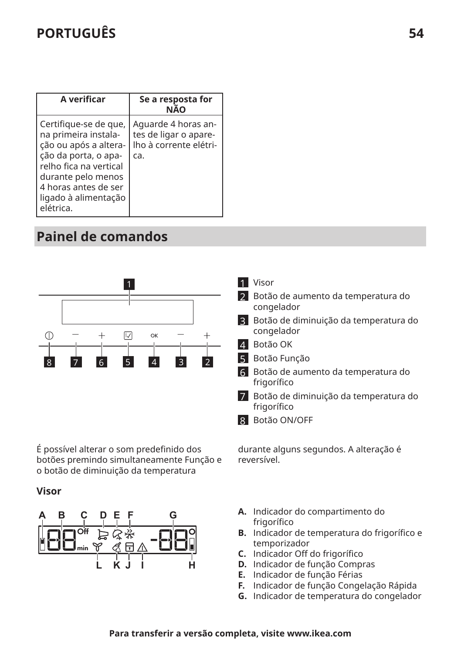| A verificar                                                                                                                                                                                                 | Se a resposta for<br>NÃO                                                      |
|-------------------------------------------------------------------------------------------------------------------------------------------------------------------------------------------------------------|-------------------------------------------------------------------------------|
| Certifique-se de que,<br>na primeira instala-<br>ção ou após a altera-<br>ção da porta, o apa-<br>relho fica na vertical<br>durante pelo menos<br>4 horas antes de ser<br>ligado à alimentação<br>elétrica. | Aquarde 4 horas an-<br>tes de ligar o apare-<br>Iho à corrente elétri-<br>ca. |

# **Painel de comandos**



É possível alterar o som predefinido dos botões premindo simultaneamente Função e o botão de diminuição da temperatura

#### **Visor**



- 1 Visor
- 2 Botão de aumento da temperatura do congelador
- 3 Botão de diminuição da temperatura do congelador
- 4 Botão OK
- 5 Botão Função
- 6 Botão de aumento da temperatura do frigorífico
- 7 Botão de diminuição da temperatura do frigorífico
- 8 Botão ON/OFF

durante alguns segundos. A alteração é reversível.

- **A.** Indicador do compartimento do frigorífico
- **B.** Indicador de temperatura do frigorífico e temporizador
- **C.** Indicador 0ff do frigorfico
- **D.** Indicador de função Compras
- **E.** Indicador de função Férias
- **F.** Indicador de função Congelação Rápida
- **G.** Indicador de temperatura do congelador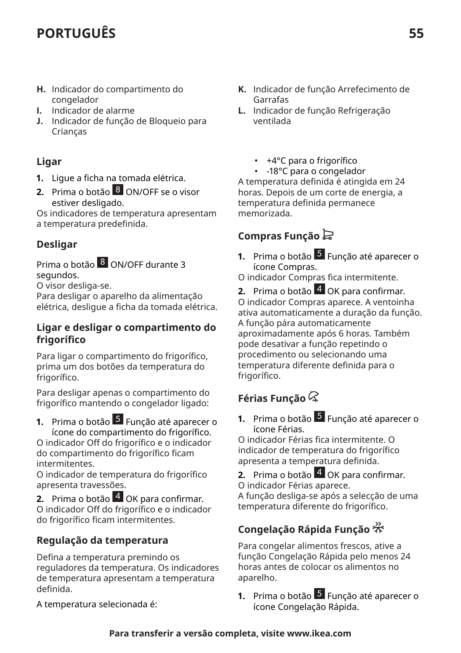- **H.** Indicador do compartimento do congelador
- **I.** Indicador de alarme
- **J.** Indicador de função de Bloqueio para Crianças

#### **Ligar**

- **1.** Ligue a ficha na tomada elétrica.
- **2.** Prima o botão 8 ON/OFF se o visor estiver desligado.

Os indicadores de temperatura apresentam a temperatura predefinida.

#### **Desligar**

Prima o botão 8 ON/OFF durante 3 segundos.

O visor desliga-se.

Para desligar o aparelho da alimentação elétrica, desligue a ficha da tomada elétrica.

#### **Ligar e desligar o compartimento do frigorfico**

Para ligar o compartimento do frigorífico, prima um dos botões da temperatura do frigorífico.

Para desligar apenas o compartimento do frigorfico mantendo o congelador ligado:

**1.** Prima o botão 5 Função até aparecer o ícone do compartimento do frigorfico.

O indicador 0ff do frigorfico e o indicador do compartimento do frigorfico ficam intermitentes.

O indicador de temperatura do frigorfico apresenta travessões.

**2.** Prima o botão 4 OK para confirmar. O indicador 0ff do frigorfico e o indicador do frigorfico ficam intermitentes.

### **Regulação da temperatura**

Defina a temperatura premindo os reguladores da temperatura. Os indicadores de temperatura apresentam a temperatura definida.

A temperatura selecionada é:

- **K.** Indicador de função Arrefecimento de Garrafas
- **L.** Indicador de função Refrigeração ventilada
	- +4°C para o frigorífico
	- -18°C para o congelador

A temperatura definida é atingida em 24 horas. Depois de um corte de energia, a temperatura definida permanece memorizada.

### **Compras Função**

**1.** Prima o botão 5 Função até aparecer o ícone Compras.

O indicador Compras fica intermitente.

**2.** Prima o botão 4 OK para confirmar. O indicador Compras aparece. A ventoinha ativa automaticamente a duração da função. A função pára automaticamente aproximadamente após 6 horas. Também pode desativar a função repetindo o procedimento ou selecionando uma temperatura diferente definida para o frigorífico.

### **Férias Função**

**1.** Prima o botão 5 Função até aparecer o ícone Férias.

O indicador Férias fica intermitente. O indicador de temperatura do frigorfico apresenta a temperatura definida.

**2.** Prima o botão 4 OK para confirmar. O indicador Férias aparece.

A função desliga-se após a selecção de uma temperatura diferente do frigorfico.

### **Congelação Rápida Função**

Para congelar alimentos frescos, ative a função Congelação Rápida pelo menos 24 horas antes de colocar os alimentos no aparelho.

**1.** Prima o botão 5 Função até aparecer o ícone Congelação Rápida.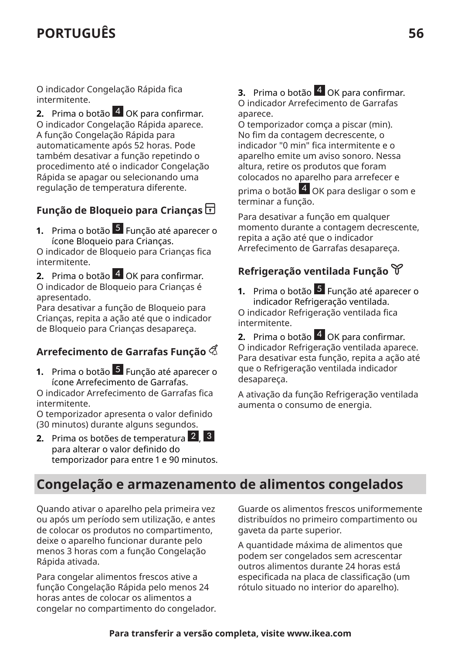O indicador Congelação Rápida fica intermitente.

**2.** Prima o botão 4 OK para confirmar. O indicador Congelação Rápida aparece. A função Congelação Rápida para automaticamente após 52 horas. Pode também desativar a função repetindo o procedimento até o indicador Congelação Rápida se apagar ou selecionando uma regulação de temperatura diferente.

### **Função de Bloqueio para Crianças**

**1.** Prima o botão 5 Função até aparecer o ícone Bloqueio para Crianças.

O indicador de Bloqueio para Crianças fica intermitente.

**2.** Prima o botão 4 OK para confirmar. O indicador de Bloqueio para Crianças é apresentado.

Para desativar a função de Bloqueio para Crianças, repita a ação até que o indicador de Bloqueio para Crianças desapareça.

### **Arrefecimento de Garrafas Função**

**1.** Prima o botão 5 Função até aparecer o ícone Arrefecimento de Garrafas.

O indicador Arrefecimento de Garrafas fica intermitente.

O temporizador apresenta o valor definido (30 minutos) durante alguns segundos.

**2.** Prima os botões de temperatura 2, 3 para alterar o valor definido do temporizador para entre 1 e 90 minutos.

#### **3.** Prima o botão 4 OK para confirmar. O indicador Arrefecimento de Garrafas aparece.

O temporizador comça a piscar (min). No fim da contagem decrescente, o indicador "0 min" fica intermitente e o aparelho emite um aviso sonoro. Nessa altura, retire os produtos que foram colocados no aparelho para arrefecer e

prima o botão  $\overline{4}$  OK para desligar o som e terminar a função.

Para desativar a função em qualquer momento durante a contagem decrescente, repita a ação até que o indicador Arrefecimento de Garrafas desapareça.

### **Refrigeração ventilada Função**

**1.** Prima o botão 5 Função até aparecer o indicador Refrigeração ventilada. O indicador Refrigeração ventilada fica intermitente.

**2.** Prima o botão 4 OK para confirmar. O indicador Refrigeração ventilada aparece. Para desativar esta função, repita a ação até que o Refrigeração ventilada indicador desapareça.

A ativação da função Refrigeração ventilada aumenta o consumo de energia.

### **Congelação e armazenamento de alimentos congelados**

Quando ativar o aparelho pela primeira vez ou após um período sem utilização, e antes de colocar os produtos no compartimento, deixe o aparelho funcionar durante pelo menos 3 horas com a função Congelação Rápida ativada.

Para congelar alimentos frescos ative a função Congelação Rápida pelo menos 24 horas antes de colocar os alimentos a congelar no compartimento do congelador. Guarde os alimentos frescos uniformemente distribuídos no primeiro compartimento ou gaveta da parte superior.

A quantidade máxima de alimentos que podem ser congelados sem acrescentar outros alimentos durante 24 horas está especificada na placa de classificação (um rótulo situado no interior do aparelho).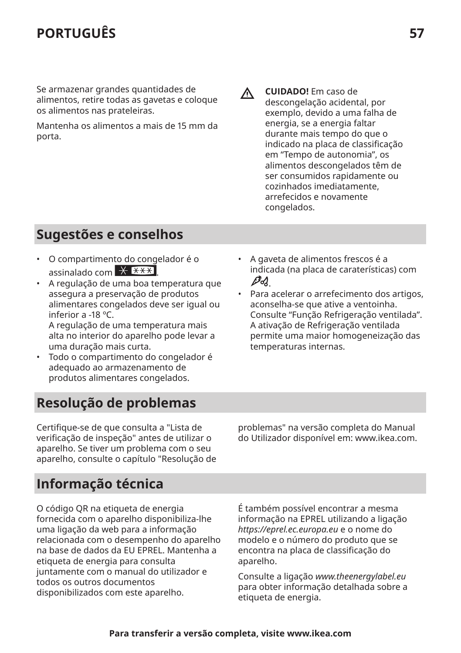Se armazenar grandes quantidades de alimentos, retire todas as gavetas e coloque os alimentos nas prateleiras.

Mantenha os alimentos a mais de 15 mm da porta.

Λ

**CUIDADO!** Em caso de descongelação acidental, por exemplo, devido a uma falha de energia, se a energia faltar durante mais tempo do que o indicado na placa de classificação em "Tempo de autonomia", os alimentos descongelados têm de ser consumidos rapidamente ou cozinhados imediatamente, arrefecidos e novamente congelados.

# **Sugestões e conselhos**

- O compartimento do congelador é o assinalado com  $\overline{X}$   $\overline{X}$
- A regulação de uma boa temperatura que assegura a preservação de produtos alimentares congelados deve ser igual ou inferior a -18 ºC. A regulação de uma temperatura mais

alta no interior do aparelho pode levar a uma duração mais curta.

- Todo o compartimento do congelador é adequado ao armazenamento de produtos alimentares congelados.
- **Resolução de problemas**

Certifique-se de que consulta a "Lista de verifica§ão de inspeção" antes de utilizar o aparelho. Se tiver um problema com o seu aparelho, consulte o capítulo "Resolução de • A gaveta de alimentos frescos é a indicada (na placa de caraterísticas) com  $\mathscr{P}d$ 

• Para acelerar o arrefecimento dos artigos, aconselha-se que ative a ventoinha. Consulte "Função Refrigeração ventilada". A ativação de Refrigeração ventilada permite uma maior homogeneização das temperaturas internas.

problemas" na versão completa do Manual do Utilizador disponível em: www.ikea.com.

### **Informação técnica**

O código QR na etiqueta de energia fornecida com o aparelho disponibiliza-lhe uma ligação da web para a informação relacionada com o desempenho do aparelho na base de dados da EU EPREL. Mantenha a etiqueta de energia para consulta juntamente com o manual do utilizador e todos os outros documentos disponibilizados com este aparelho.

É também possível encontrar a mesma informação na EPREL utilizando a ligação *https://eprel.ec.europa.eu* e o nome do modelo e o número do produto que se encontra na placa de classificação do aparelho.

Consulte a ligação *www.theenergylabel.eu* para obter informação detalhada sobre a etiqueta de energia.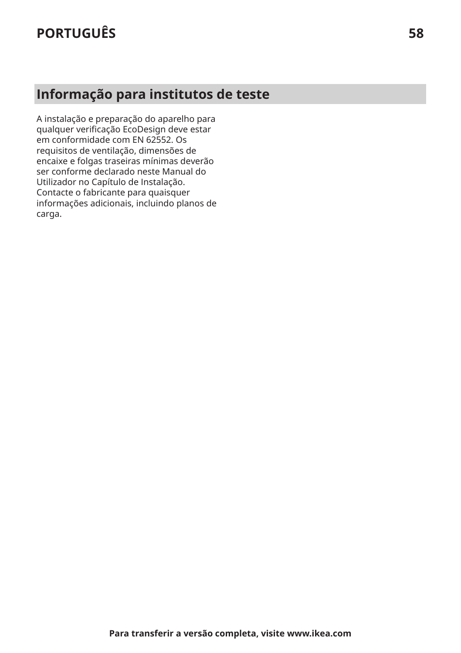# **Informação para institutos de teste**

A instalação e preparação do aparelho para qualquer verifica§ão EcoDesign deve estar em conformidade com EN 62552. Os requisitos de ventilação, dimensões de encaixe e folgas traseiras mínimas deverão ser conforme declarado neste Manual do Utilizador no Capítulo de Instalação. Contacte o fabricante para quaisquer informações adicionais, incluindo planos de carga.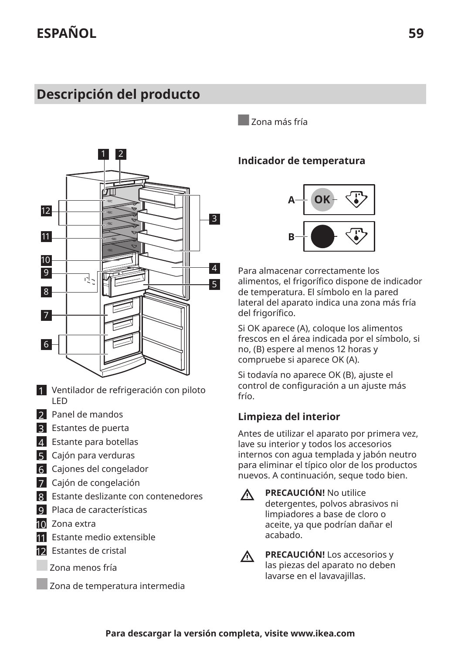# <span id="page-58-0"></span>**Descripción del producto**



- 1 Ventilador de refrigeración con piloto LED
- 2 Panel de mandos
- 3 Estantes de puerta
- 4 Estante para botellas
- **5** Cajón para verduras
- 6 Cajones del congelador
- 7 Cajón de congelación
- 8 Estante deslizante con contenedores
- 9 Placa de características
- 10 Zona extra
- 11 Estante medio extensible
- 12 Estantes de cristal
	- Zona menos fría
	- Zona de temperatura intermedia

Zona más fría

#### **Indicador de temperatura**



Para almacenar correctamente los alimentos, el frigorfico dispone de indicador de temperatura. El símbolo en la pared lateral del aparato indica una zona más fría del frigorífico.

Si OK aparece (A), coloque los alimentos frescos en el área indicada por el símbolo, si no, (B) espere al menos 12 horas y compruebe si aparece OK (A).

Si todavía no aparece OK (B), ajuste el control de configuración a un ajuste más frío.

#### **Limpieza del interior**

Antes de utilizar el aparato por primera vez, lave su interior y todos los accesorios internos con agua templada y jabón neutro para eliminar el típico olor de los productos nuevos. A continuación, seque todo bien.

**PRECAUCIÓN!** No utilice  $\Lambda$ 

detergentes, polvos abrasivos ni limpiadores a base de cloro o aceite, ya que podrían dañar el acabado.



**PRECAUCIÓN!** Los accesorios y las piezas del aparato no deben lavarse en el lavavajillas.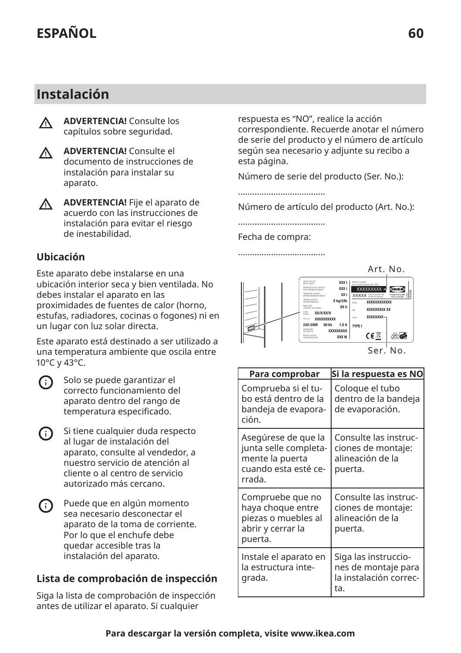### **Instalación**

**ADVERTENCIA!** Consulte los ∧ capítulos sobre seguridad.



**ADVERTENCIA!** Consulte el documento de instrucciones de instalación para instalar su aparato.

**ADVERTENCIA!** Fije el aparato de Λ. acuerdo con las instrucciones de instalación para evitar el riesgo de inestabilidad.

#### **Ubicación**

Este aparato debe instalarse en una ubicación interior seca y bien ventilada. No debes instalar el aparato en las proximidades de fuentes de calor (horno, estufas, radiadores, cocinas o fogones) ni en un lugar con luz solar directa.

Este aparato está destinado a ser utilizado a una temperatura ambiente que oscila entre 10°C y 43°C.



Solo se puede garantizar el correcto funcionamiento del aparato dentro del rango de temperatura especificado.

- Si tiene cualquier duda respecto  $(i)$ al lugar de instalación del aparato, consulte al vendedor, a nuestro servicio de atención al cliente o al centro de servicio autorizado más cercano.
- <u>ന</u> Puede que en algún momento sea necesario desconectar el aparato de la toma de corriente. Por lo que el enchufe debe quedar accesible tras la instalación del aparato.

### **Lista de comprobación de inspección**

Siga la lista de comprobación de inspección antes de utilizar el aparato. Si cualquier

respuesta es "NO", realice la acción correspondiente. Recuerde anotar el número de serie del producto y el número de artículo según sea necesario y adjunte su recibo a esta página.

Número de serie del producto (Ser. No.):

.....................................

Número de artículo del producto (Art. No.):

.....................................

Fecha de compra: .....................................



| Para comprobar                                                                                    | Si la respuesta es NO                                                        |
|---------------------------------------------------------------------------------------------------|------------------------------------------------------------------------------|
| Comprueba și el tu-<br>bo está dentro de la<br>bandeja de evapora-<br>ción.                       | Coloque el tubo<br>dentro de la bandeja<br>de evaporación.                   |
| Asegúrese de que la<br>junta selle completa-<br>mente la puerta<br>cuando esta esté ce-<br>rrada. | Consulte las instruc-<br>ciones de montaje:<br>alineación de la<br>puerta.   |
| Compruebe que no<br>haya choque entre<br>piezas o muebles al<br>abrir y cerrar la<br>puerta.      | Consulte las instruc-<br>ciones de montaje:<br>alineación de la<br>puerta.   |
| Instale el aparato en<br>la estructura inte-<br>grada.                                            | Siga las instruccio-<br>nes de montaje para<br>la instalación correc-<br>ta. |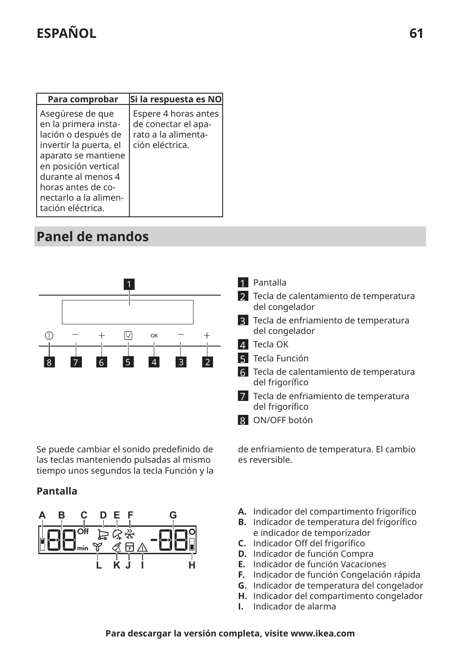# **ESPANOL** 61

| Para comprobar                                                                                                                                                                                                                     | Si la respuesta es NO                                                                 |
|------------------------------------------------------------------------------------------------------------------------------------------------------------------------------------------------------------------------------------|---------------------------------------------------------------------------------------|
| Asegúrese de que<br>en la primera insta-<br>lación o después de<br>invertir la puerta, el<br>aparato se mantiene<br>en posición vertical<br>durante al menos 4<br>horas antes de co-<br>nectarlo a la alimen-<br>tación eléctrica. | Espere 4 horas antes<br>de conectar el apa-<br>rato a la alimenta-<br>ción eléctrica. |

# **Panel de mandos**



Se puede cambiar el sonido predefinido de las teclas manteniendo pulsadas al mismo tiempo unos segundos la tecla Función y la

#### **Pantalla**



- 1 Pantalla
- 2 Tecla de calentamiento de temperatura del congelador
- 3 Tecla de enfriamiento de temperatura del congelador
- 4 Tecla OK
- 5 Tecla Función
- 6 Tecla de calentamiento de temperatura del frigorfico
- 7 Tecla de enfriamiento de temperatura del frigorífico
- 8 ON/OFF botón

de enfriamiento de temperatura. El cambio es reversible.

- **A.** Indicador del compartimento frigorfico
- **B.** Indicador de temperatura del frigorífico e indicador de temporizador
- **C.** Indicador 0ff del frigorfico
- **D.** Indicador de función Compra
- **E.** Indicador de función Vacaciones
- **F.** Indicador de función Congelación rápida
- **G.** Indicador de temperatura del congelador
- **H.** Indicador del compartimento congelador
- **I.** Indicador de alarma

#### **Para descargar la versión completa, visite www.ikea.com**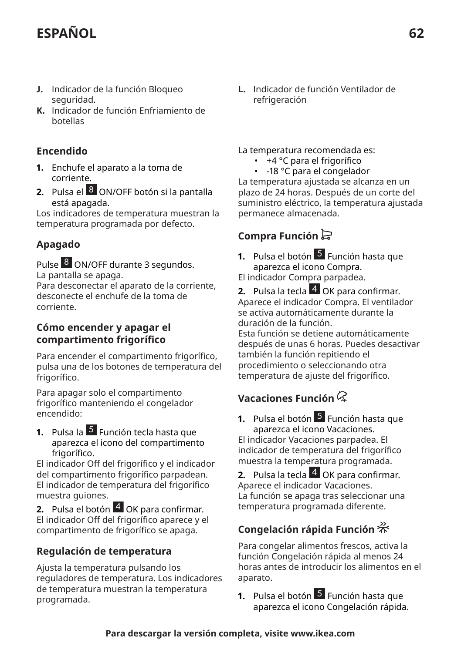# **ESPANOL** 62

- **J.** Indicador de la función Bloqueo seguridad.
- **K.** Indicador de función Enfriamiento de botellas

#### **Encendido**

- **1.** Enchufe el aparato a la toma de corriente.
- **2.** Pulsa el 8 ON/OFF botón si la pantalla está apagada.

Los indicadores de temperatura muestran la temperatura programada por defecto.

#### **Apagado**

Pulse 8 ON/OFF durante 3 segundos.

La pantalla se apaga.

Para desconectar el aparato de la corriente, desconecte el enchufe de la toma de corriente.

#### **Cómo encender y apagar el compartimento frigorfico**

Para encender el compartimento frigorfico, pulsa una de los botones de temperatura del frigorífico.

Para apagar solo el compartimento frigorfico manteniendo el congelador encendido:

**1.** Pulsa la <sup>5</sup> Función tecla hasta que aparezca el icono del compartimento frigorífico.

El indicador 0ff del frigorfico y el indicador del compartimento frigorfico parpadean. El indicador de temperatura del frigorfico muestra guiones.

**2.** Pulsa el botón 4 OK para confirmar. El indicador 0ff del frigorfico aparece y el compartimento de frigorfico se apaga.

#### **Regulación de temperatura**

Ajusta la temperatura pulsando los reguladores de temperatura. Los indicadores de temperatura muestran la temperatura programada.

**L.** Indicador de función Ventilador de refrigeración

#### La temperatura recomendada es:

- +4 °C para el frigorfico
- -18 °C para el congelador

La temperatura ajustada se alcanza en un plazo de 24 horas. Después de un corte del suministro eléctrico, la temperatura ajustada permanece almacenada.

### **Compra Función**

- **1.** Pulsa el botón 5 Función hasta que aparezca el icono Compra. El indicador Compra parpadea.
- **2.** Pulsa la tecla 4 OK para confirmar. Aparece el indicador Compra. El ventilador se activa automáticamente durante la duración de la función. Esta función se detiene automáticamente después de unas 6 horas. Puedes desactivar

también la función repitiendo el procedimiento o seleccionando otra temperatura de ajuste del frigorfico.

### **Vacaciones Función**

**1.** Pulsa el botón 5 Función hasta que aparezca el icono Vacaciones. El indicador Vacaciones parpadea. El indicador de temperatura del frigorfico muestra la temperatura programada.

**2.** Pulsa la tecla 4 OK para confirmar. Aparece el indicador Vacaciones. La función se apaga tras seleccionar una temperatura programada diferente.

### **Congelación rápida Función**

Para congelar alimentos frescos, activa la función Congelación rápida al menos 24 horas antes de introducir los alimentos en el aparato.

**1.** Pulsa el botón 5 Función hasta que aparezca el icono Congelación rápida.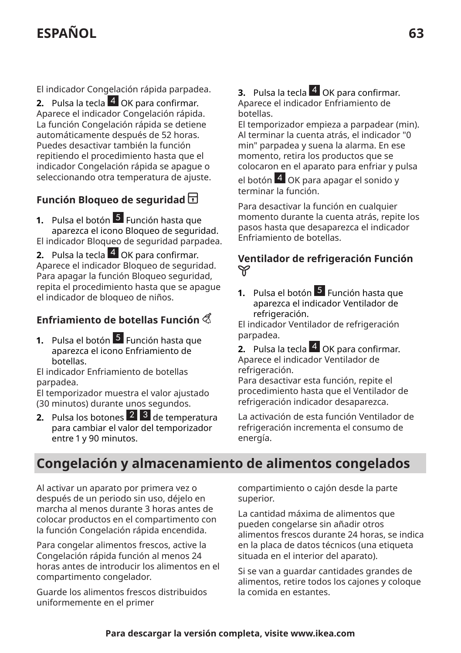# **ESPANOL** 63

El indicador Congelación rápida parpadea.

**2.** Pulsa la tecla 4 OK para confirmar. Aparece el indicador Congelación rápida. La función Congelación rápida se detiene automáticamente después de 52 horas. Puedes desactivar también la función repitiendo el procedimiento hasta que el indicador Congelación rápida se apague o seleccionando otra temperatura de ajuste.

### **Función Bloqueo de seguridad**

**1.** Pulsa el botón <sup>5</sup> Función hasta que aparezca el icono Bloqueo de seguridad. El indicador Bloqueo de seguridad parpadea.

**2.** Pulsa la tecla 4 OK para confirmar. Aparece el indicador Bloqueo de seguridad. Para apagar la función Bloqueo seguridad, repita el procedimiento hasta que se apague el indicador de bloqueo de niños.

### **Enfriamiento de botellas Función**

**1.** Pulsa el botón <sup>5</sup> Función hasta que aparezca el icono Enfriamiento de botellas.

El indicador Enfriamiento de botellas parpadea.

El temporizador muestra el valor ajustado (30 minutos) durante unos segundos.

**2.** Pulsa los botones 2 3 de temperatura para cambiar el valor del temporizador entre 1 y 90 minutos.

**3.** Pulsa la tecla 4 OK para confirmar. Aparece el indicador Enfriamiento de botellas.

El temporizador empieza a parpadear (min). Al terminar la cuenta atrás, el indicador "0 min" parpadea y suena la alarma. En ese momento, retira los productos que se colocaron en el aparato para enfriar y pulsa

el botón 4 OK para apagar el sonido y terminar la función.

Para desactivar la función en cualquier momento durante la cuenta atrás, repite los pasos hasta que desaparezca el indicador Enfriamiento de botellas.

#### **Ventilador de refrigeración Función** V

**1.** Pulsa el botón 5 Función hasta que aparezca el indicador Ventilador de refrigeración.

El indicador Ventilador de refrigeración parpadea.

**2.** Pulsa la tecla 4 OK para confirmar. Aparece el indicador Ventilador de refrigeración.

Para desactivar esta función, repite el procedimiento hasta que el Ventilador de refrigeración indicador desaparezca.

La activación de esta función Ventilador de refrigeración incrementa el consumo de energía.

### **Congelación y almacenamiento de alimentos congelados**

Al activar un aparato por primera vez o después de un periodo sin uso, déjelo en marcha al menos durante 3 horas antes de colocar productos en el compartimento con la función Congelación rápida encendida.

Para congelar alimentos frescos, active la Congelación rápida función al menos 24 horas antes de introducir los alimentos en el compartimento congelador.

Guarde los alimentos frescos distribuidos uniformemente en el primer

compartimiento o cajón desde la parte superior.

La cantidad máxima de alimentos que pueden congelarse sin añadir otros alimentos frescos durante 24 horas, se indica en la placa de datos técnicos (una etiqueta situada en el interior del aparato).

Si se van a guardar cantidades grandes de alimentos, retire todos los cajones y coloque la comida en estantes.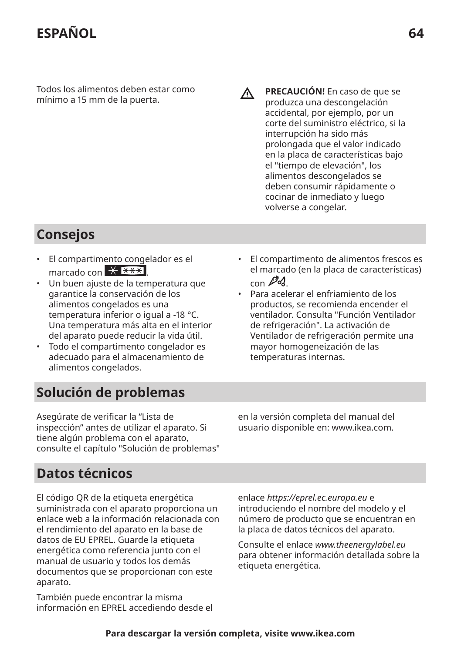Todos los alimentos deben estar como mínimo a 15 mm de la puerta.

**PRECAUCIÓN!** En caso de que se produzca una descongelación accidental, por ejemplo, por un corte del suministro eléctrico, si la interrupción ha sido más prolongada que el valor indicado en la placa de características bajo el "tiempo de elevación", los alimentos descongelados se deben consumir rápidamente o cocinar de inmediato y luego volverse a congelar.

ΛN<sub>Γ</sub>

# **Consejos**

- El compartimento congelador es el marcado con  $\overline{X}$   $\overline{***}$
- Un buen ajuste de la temperatura que garantice la conservación de los alimentos congelados es una temperatura inferior o igual a -18 °C. Una temperatura más alta en el interior del aparato puede reducir la vida útil.
- Todo el compartimento congelador es adecuado para el almacenamiento de alimentos congelados.
- El compartimento de alimentos frescos es el marcado (en la placa de características)  $_{\rm con}$   $\mathscr{P}d$
- Para acelerar el enfriamiento de los productos, se recomienda encender el ventilador. Consulta "Función Ventilador de refrigeración". La activación de Ventilador de refrigeración permite una mayor homogeneización de las temperaturas internas.

# **Solución de problemas**

Asegúrate de verificar la "Lista de inspección" antes de utilizar el aparato. Si tiene algún problema con el aparato, consulte el capítulo "Solución de problemas" en la versión completa del manual del usuario disponible en: www.ikea.com.

# **Datos técnicos**

El código QR de la etiqueta energética suministrada con el aparato proporciona un enlace web a la información relacionada con el rendimiento del aparato en la base de datos de EU EPREL. Guarde la etiqueta energética como referencia junto con el manual de usuario y todos los demás documentos que se proporcionan con este aparato.

También puede encontrar la misma información en EPREL accediendo desde el enlace *https://eprel.ec.europa.eu* e introduciendo el nombre del modelo y el número de producto que se encuentran en la placa de datos técnicos del aparato.

Consulte el enlace *www.theenergylabel.eu* para obtener información detallada sobre la etiqueta energética.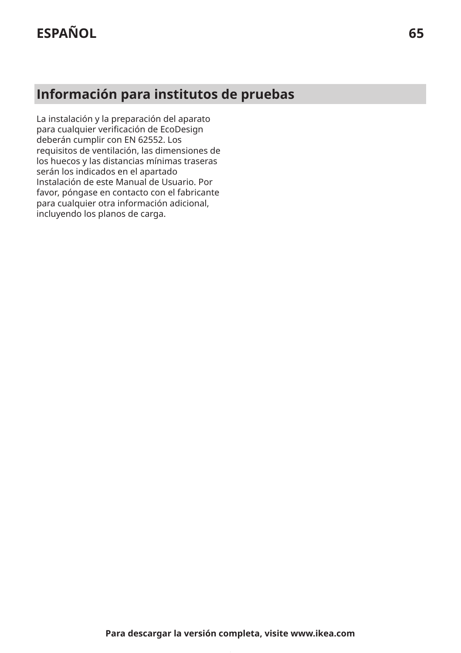# **Información para institutos de pruebas**

La instalación y la preparación del aparato para cualquier verificación de EcoDesign deberán cumplir con EN 62552. Los requisitos de ventilación, las dimensiones de los huecos y las distancias mínimas traseras serán los indicados en el apartado Instalación de este Manual de Usuario. Por favor, póngase en contacto con el fabricante para cualquier otra información adicional, incluyendo los planos de carga.